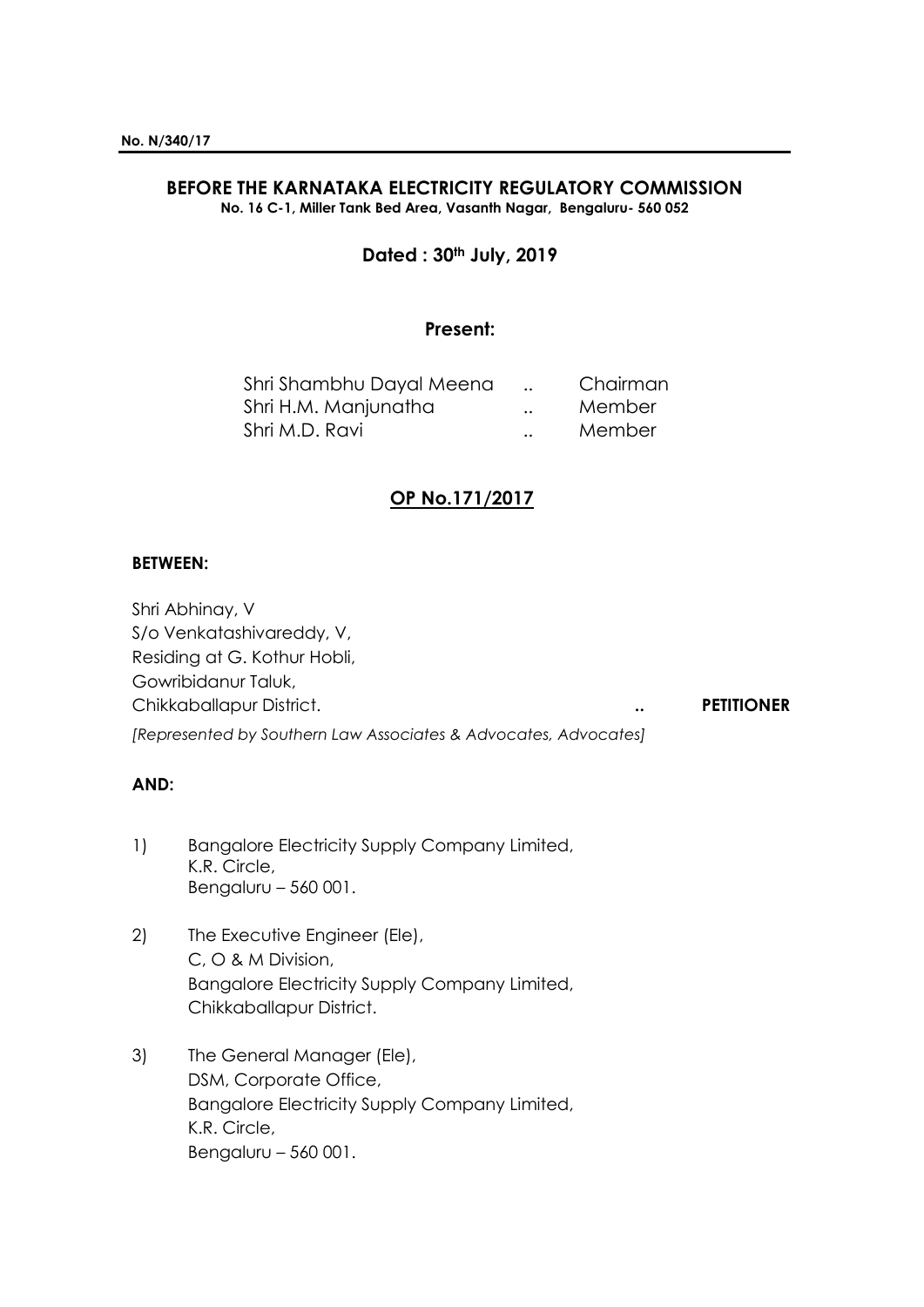# **BEFORE THE KARNATAKA ELECTRICITY REGULATORY COMMISSION**

**No. 16 C-1, Miller Tank Bed Area, Vasanth Nagar, Bengaluru- 560 052**

## **Dated : 30th July, 2019**

## **Present:**

| Shri Shambhu Dayal Meena |                      | Chairman |
|--------------------------|----------------------|----------|
| Shri H.M. Manjunatha     | $\ddot{\phantom{a}}$ | Member   |
| Shri M.D. Ravi           | $\ddot{\phantom{a}}$ | Member   |

## **OP No.171/2017**

## **BETWEEN:**

Shri Abhinay, V S/o Venkatashivareddy, V, Residing at G. Kothur Hobli, Gowribidanur Taluk, Chikkaballapur District. **.. PETITIONER** *[Represented by Southern Law Associates & Advocates, Advocates]*

### **AND:**

- 1) Bangalore Electricity Supply Company Limited, K.R. Circle, Bengaluru – 560 001.
- 2) The Executive Engineer (Ele), C, O & M Division, Bangalore Electricity Supply Company Limited, Chikkaballapur District.
- 3) The General Manager (Ele), DSM, Corporate Office, Bangalore Electricity Supply Company Limited, K.R. Circle, Bengaluru – 560 001.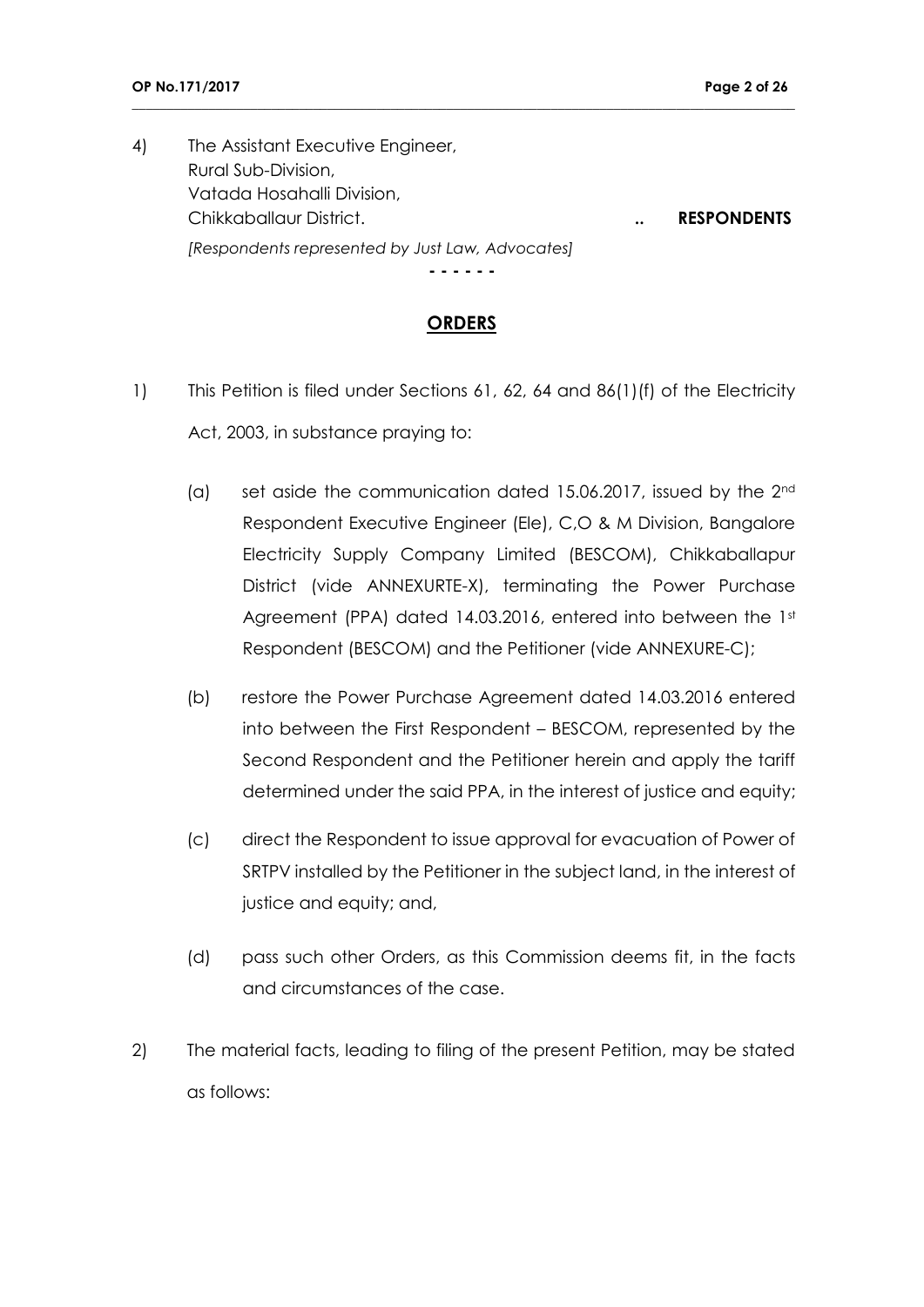4) The Assistant Executive Engineer, Rural Sub-Division, Vatada Hosahalli Division, Chikkaballaur District. **.. RESPONDENTS** *[Respondents represented by Just Law, Advocates]*

**\_\_\_\_\_\_\_\_\_\_\_\_\_\_\_\_\_\_\_\_\_\_\_\_\_\_\_\_\_\_\_\_\_\_\_\_\_\_\_\_\_\_\_\_\_\_\_\_\_\_\_\_\_\_\_\_\_\_\_\_\_\_\_\_\_\_\_\_\_\_\_\_\_\_\_\_\_\_\_\_\_\_\_\_\_\_\_\_\_\_\_\_\_\_\_**

**- - - - - -**

## **ORDERS**

- 1) This Petition is filed under Sections 61, 62, 64 and 86(1)(f) of the Electricity Act, 2003, in substance praying to:
	- (a) set aside the communication dated 15.06.2017, issued by the  $2<sup>nd</sup>$ Respondent Executive Engineer (Ele), C,O & M Division, Bangalore Electricity Supply Company Limited (BESCOM), Chikkaballapur District (vide ANNEXURTE-X), terminating the Power Purchase Agreement (PPA) dated 14.03.2016, entered into between the 1st Respondent (BESCOM) and the Petitioner (vide ANNEXURE-C);
	- (b) restore the Power Purchase Agreement dated 14.03.2016 entered into between the First Respondent – BESCOM, represented by the Second Respondent and the Petitioner herein and apply the tariff determined under the said PPA, in the interest of justice and equity;
	- (c) direct the Respondent to issue approval for evacuation of Power of SRTPV installed by the Petitioner in the subject land, in the interest of justice and equity; and,
	- (d) pass such other Orders, as this Commission deems fit, in the facts and circumstances of the case.
- 2) The material facts, leading to filing of the present Petition, may be stated as follows: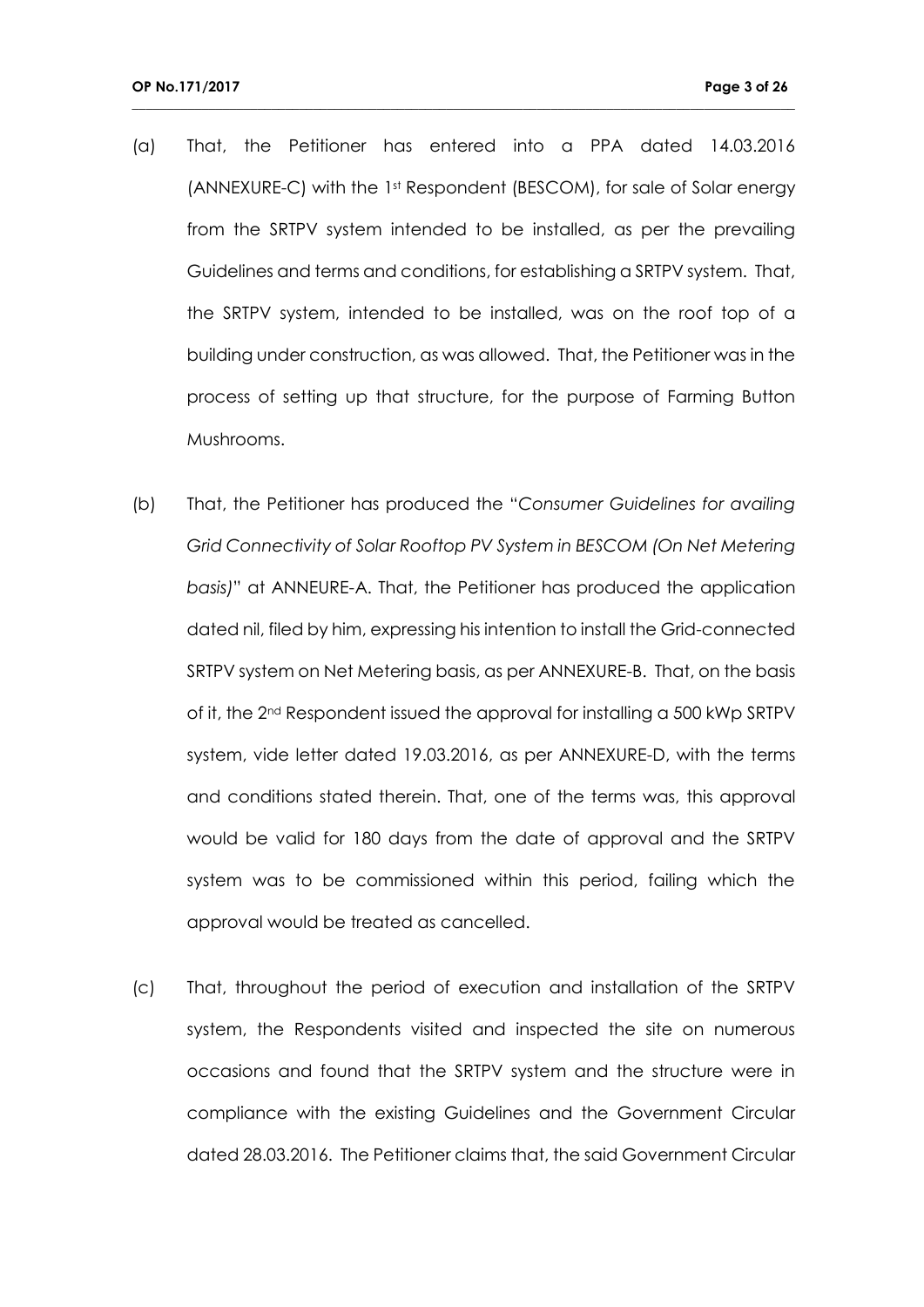(a) That, the Petitioner has entered into a PPA dated 14.03.2016 (ANNEXURE-C) with the 1st Respondent (BESCOM), for sale of Solar energy from the SRTPV system intended to be installed, as per the prevailing Guidelines and terms and conditions, for establishing a SRTPV system. That, the SRTPV system, intended to be installed, was on the roof top of a building under construction, as was allowed. That, the Petitioner was in the process of setting up that structure, for the purpose of Farming Button Mushrooms.

- (b) That, the Petitioner has produced the "*Consumer Guidelines for availing Grid Connectivity of Solar Rooftop PV System in BESCOM (On Net Metering basis)*" at ANNEURE-A. That, the Petitioner has produced the application dated nil, filed by him, expressing his intention to install the Grid-connected SRTPV system on Net Metering basis, as per ANNEXURE-B. That, on the basis of it, the 2nd Respondent issued the approval for installing a 500 kWp SRTPV system, vide letter dated 19.03.2016, as per ANNEXURE-D, with the terms and conditions stated therein. That, one of the terms was, this approval would be valid for 180 days from the date of approval and the SRTPV system was to be commissioned within this period, failing which the approval would be treated as cancelled.
- (c) That, throughout the period of execution and installation of the SRTPV system, the Respondents visited and inspected the site on numerous occasions and found that the SRTPV system and the structure were in compliance with the existing Guidelines and the Government Circular dated 28.03.2016. The Petitioner claims that, the said Government Circular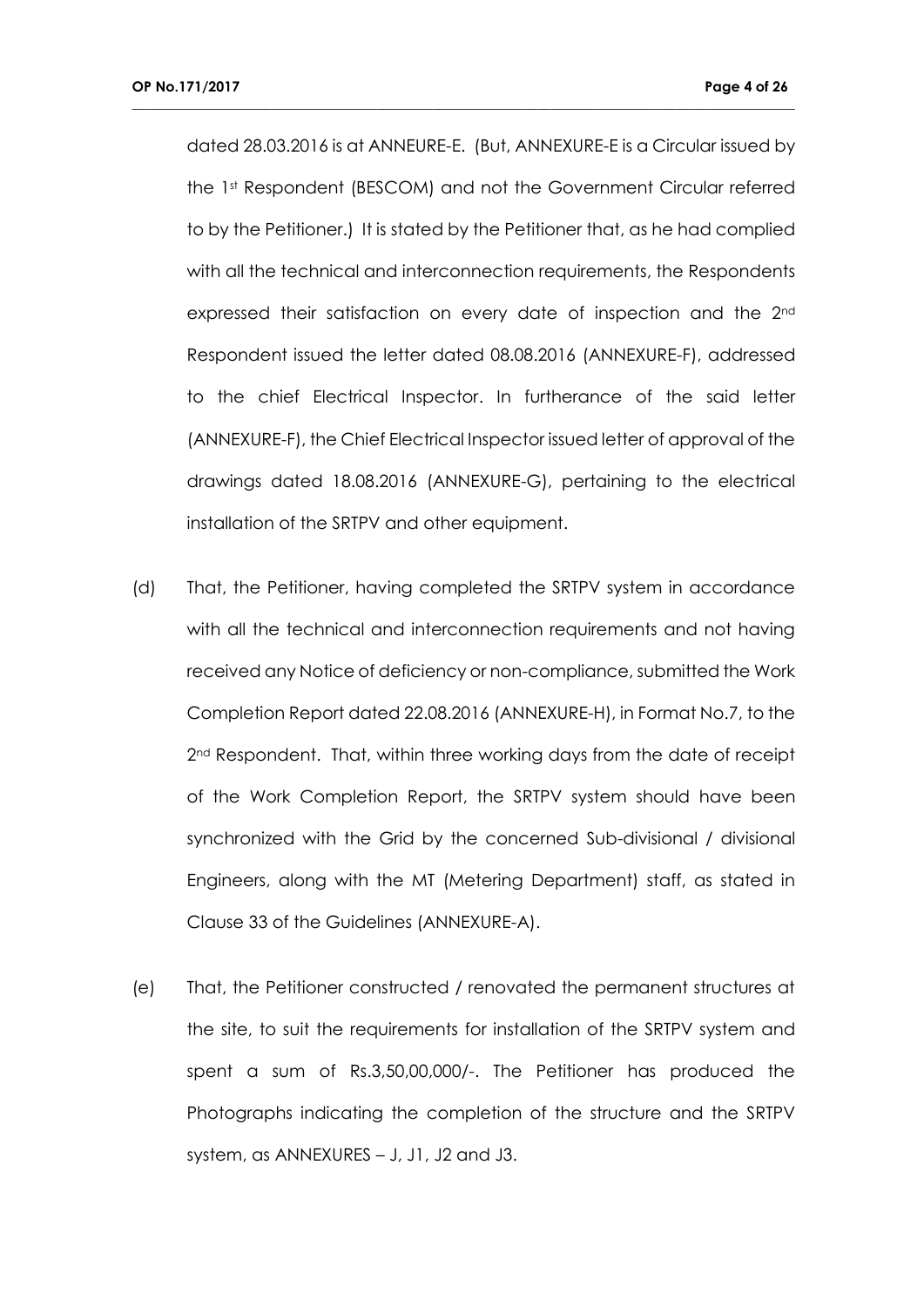dated 28.03.2016 is at ANNEURE-E. (But, ANNEXURE-E is a Circular issued by the 1st Respondent (BESCOM) and not the Government Circular referred to by the Petitioner.) It is stated by the Petitioner that, as he had complied with all the technical and interconnection requirements, the Respondents expressed their satisfaction on every date of inspection and the 2<sup>nd</sup> Respondent issued the letter dated 08.08.2016 (ANNEXURE-F), addressed to the chief Electrical Inspector. In furtherance of the said letter (ANNEXURE-F), the Chief Electrical Inspector issued letter of approval of the drawings dated 18.08.2016 (ANNEXURE-G), pertaining to the electrical installation of the SRTPV and other equipment.

- (d) That, the Petitioner, having completed the SRTPV system in accordance with all the technical and interconnection requirements and not having received any Notice of deficiency or non-compliance, submitted the Work Completion Report dated 22.08.2016 (ANNEXURE-H), in Format No.7, to the 2<sup>nd</sup> Respondent. That, within three working days from the date of receipt of the Work Completion Report, the SRTPV system should have been synchronized with the Grid by the concerned Sub-divisional / divisional Engineers, along with the MT (Metering Department) staff, as stated in Clause 33 of the Guidelines (ANNEXURE-A).
- (e) That, the Petitioner constructed / renovated the permanent structures at the site, to suit the requirements for installation of the SRTPV system and spent a sum of Rs.3,50,00,000/-. The Petitioner has produced the Photographs indicating the completion of the structure and the SRTPV system, as ANNEXURES – J, J1, J2 and J3.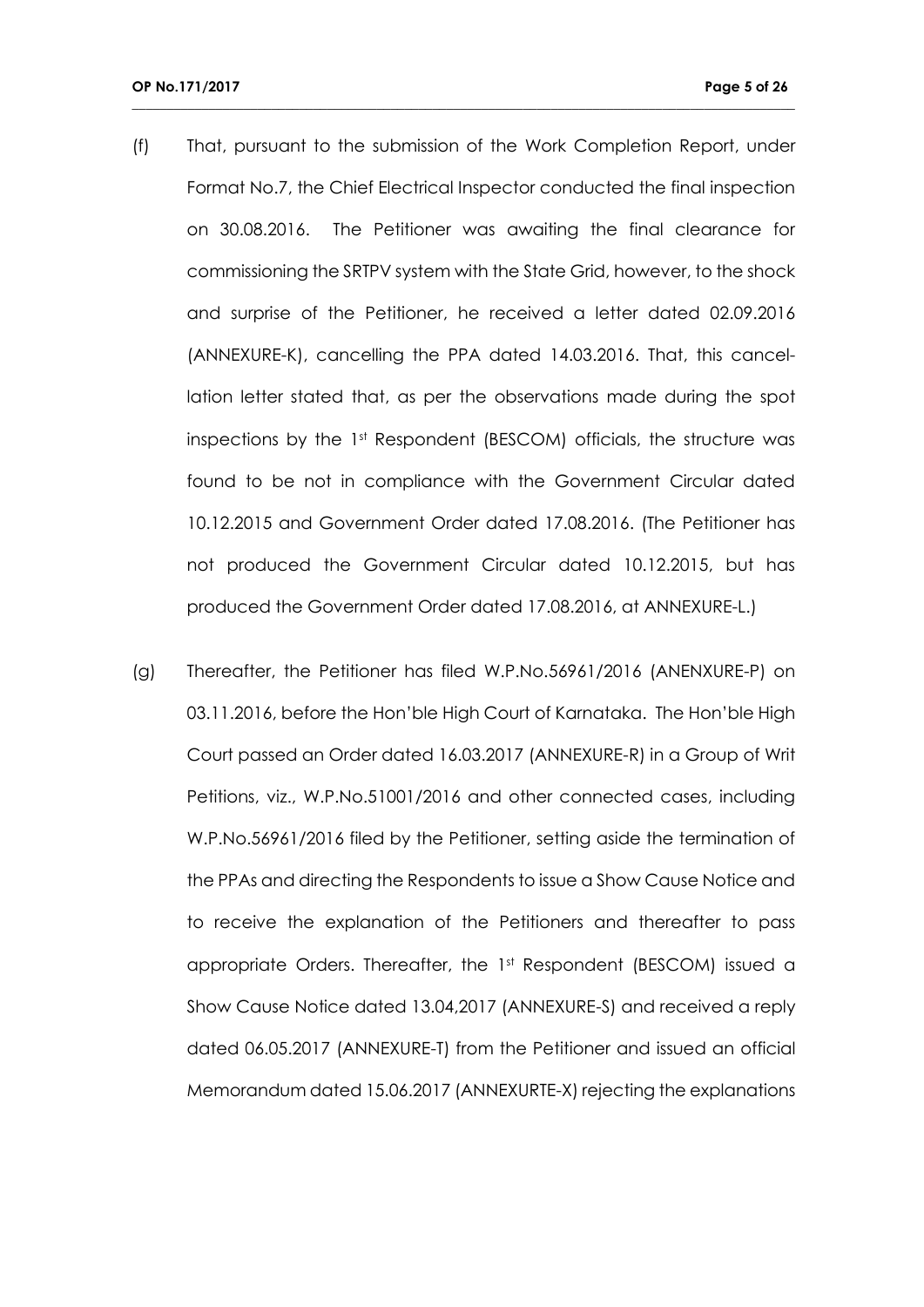(f) That, pursuant to the submission of the Work Completion Report, under Format No.7, the Chief Electrical Inspector conducted the final inspection on 30.08.2016. The Petitioner was awaiting the final clearance for commissioning the SRTPV system with the State Grid, however, to the shock and surprise of the Petitioner, he received a letter dated 02.09.2016 (ANNEXURE-K), cancelling the PPA dated 14.03.2016. That, this cancellation letter stated that, as per the observations made during the spot inspections by the 1st Respondent (BESCOM) officials, the structure was found to be not in compliance with the Government Circular dated 10.12.2015 and Government Order dated 17.08.2016. (The Petitioner has not produced the Government Circular dated 10.12.2015, but has produced the Government Order dated 17.08.2016, at ANNEXURE-L.)

**\_\_\_\_\_\_\_\_\_\_\_\_\_\_\_\_\_\_\_\_\_\_\_\_\_\_\_\_\_\_\_\_\_\_\_\_\_\_\_\_\_\_\_\_\_\_\_\_\_\_\_\_\_\_\_\_\_\_\_\_\_\_\_\_\_\_\_\_\_\_\_\_\_\_\_\_\_\_\_\_\_\_\_\_\_\_\_\_\_\_\_\_\_\_\_**

(g) Thereafter, the Petitioner has filed W.P.No.56961/2016 (ANENXURE-P) on 03.11.2016, before the Hon'ble High Court of Karnataka. The Hon'ble High Court passed an Order dated 16.03.2017 (ANNEXURE-R) in a Group of Writ Petitions, viz., W.P.No.51001/2016 and other connected cases, including W.P.No.56961/2016 filed by the Petitioner, setting aside the termination of the PPAs and directing the Respondents to issue a Show Cause Notice and to receive the explanation of the Petitioners and thereafter to pass appropriate Orders. Thereafter, the 1st Respondent (BESCOM) issued a Show Cause Notice dated 13.04,2017 (ANNEXURE-S) and received a reply dated 06.05.2017 (ANNEXURE-T) from the Petitioner and issued an official Memorandum dated 15.06.2017 (ANNEXURTE-X) rejecting the explanations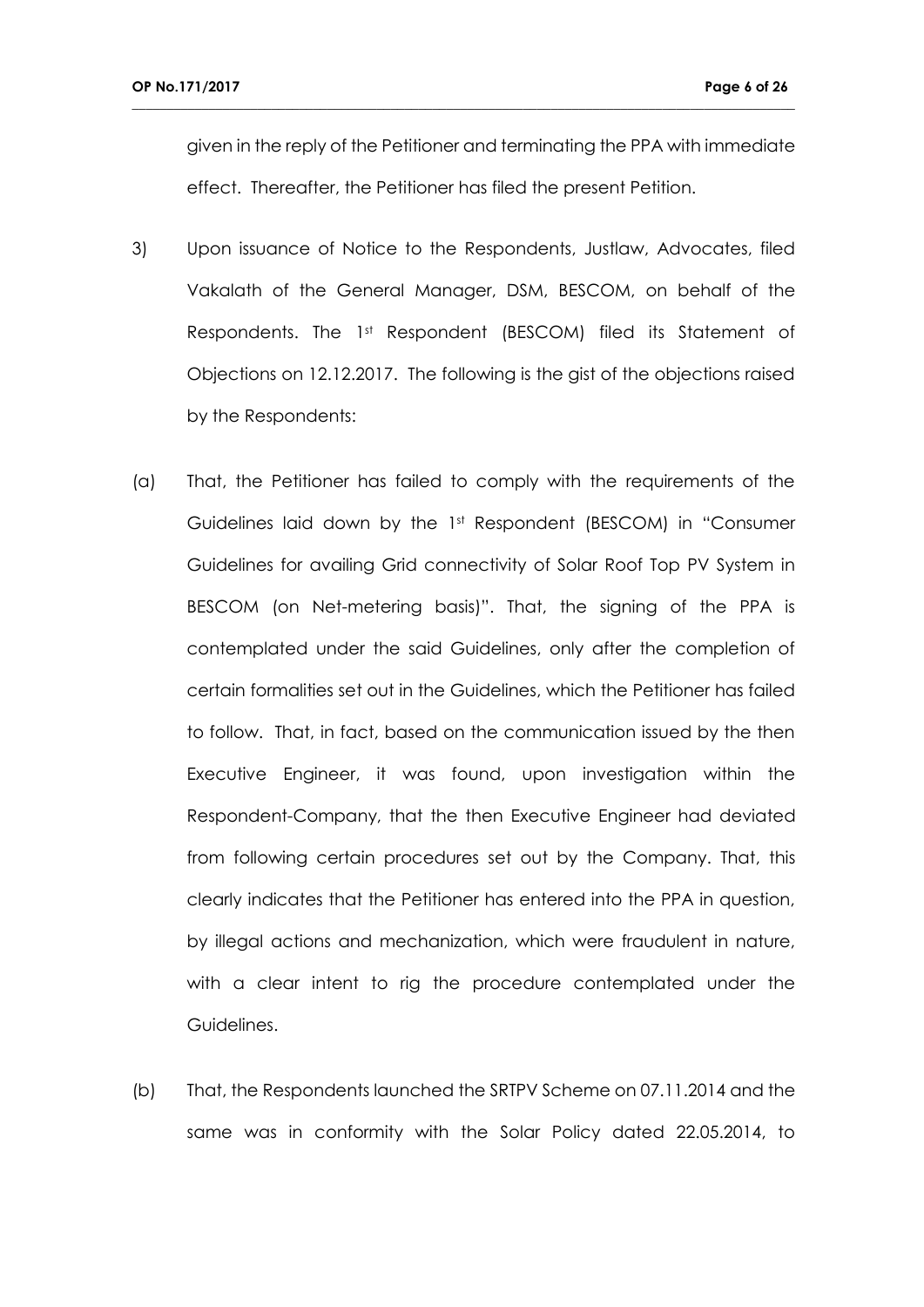given in the reply of the Petitioner and terminating the PPA with immediate effect. Thereafter, the Petitioner has filed the present Petition.

- 3) Upon issuance of Notice to the Respondents, Justlaw, Advocates, filed Vakalath of the General Manager, DSM, BESCOM, on behalf of the Respondents. The 1st Respondent (BESCOM) filed its Statement of Objections on 12.12.2017. The following is the gist of the objections raised by the Respondents:
- (a) That, the Petitioner has failed to comply with the requirements of the Guidelines laid down by the 1st Respondent (BESCOM) in "Consumer Guidelines for availing Grid connectivity of Solar Roof Top PV System in BESCOM (on Net-metering basis)". That, the signing of the PPA is contemplated under the said Guidelines, only after the completion of certain formalities set out in the Guidelines, which the Petitioner has failed to follow. That, in fact, based on the communication issued by the then Executive Engineer, it was found, upon investigation within the Respondent-Company, that the then Executive Engineer had deviated from following certain procedures set out by the Company. That, this clearly indicates that the Petitioner has entered into the PPA in question, by illegal actions and mechanization, which were fraudulent in nature, with a clear intent to rig the procedure contemplated under the Guidelines.
- (b) That, the Respondents launched the SRTPV Scheme on 07.11.2014 and the same was in conformity with the Solar Policy dated 22.05.2014, to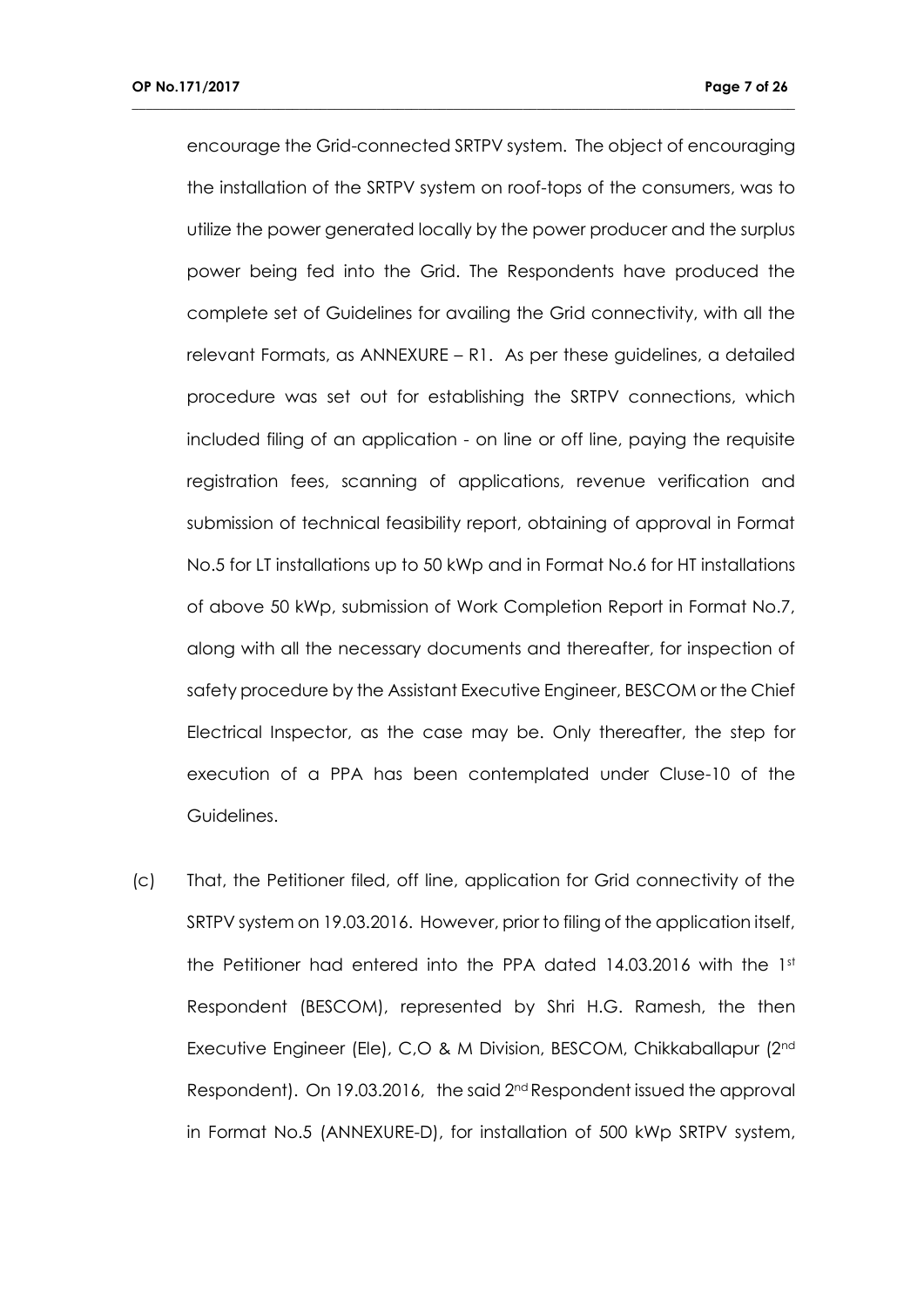encourage the Grid-connected SRTPV system. The object of encouraging the installation of the SRTPV system on roof-tops of the consumers, was to utilize the power generated locally by the power producer and the surplus power being fed into the Grid. The Respondents have produced the complete set of Guidelines for availing the Grid connectivity, with all the relevant Formats, as ANNEXURE – R1. As per these guidelines, a detailed procedure was set out for establishing the SRTPV connections, which included filing of an application - on line or off line, paying the requisite registration fees, scanning of applications, revenue verification and submission of technical feasibility report, obtaining of approval in Format No.5 for LT installations up to 50 kWp and in Format No.6 for HT installations of above 50 kWp, submission of Work Completion Report in Format No.7, along with all the necessary documents and thereafter, for inspection of safety procedure by the Assistant Executive Engineer, BESCOM or the Chief Electrical Inspector, as the case may be. Only thereafter, the step for execution of a PPA has been contemplated under Cluse-10 of the Guidelines.

**\_\_\_\_\_\_\_\_\_\_\_\_\_\_\_\_\_\_\_\_\_\_\_\_\_\_\_\_\_\_\_\_\_\_\_\_\_\_\_\_\_\_\_\_\_\_\_\_\_\_\_\_\_\_\_\_\_\_\_\_\_\_\_\_\_\_\_\_\_\_\_\_\_\_\_\_\_\_\_\_\_\_\_\_\_\_\_\_\_\_\_\_\_\_\_**

(c) That, the Petitioner filed, off line, application for Grid connectivity of the SRTPV system on 19.03.2016. However, prior to filing of the application itself, the Petitioner had entered into the PPA dated 14.03.2016 with the 1st Respondent (BESCOM), represented by Shri H.G. Ramesh, the then Executive Engineer (Ele), C,O & M Division, BESCOM, Chikkaballapur (2nd Respondent). On 19.03.2016, the said 2<sup>nd</sup> Respondent issued the approval in Format No.5 (ANNEXURE-D), for installation of 500 kWp SRTPV system,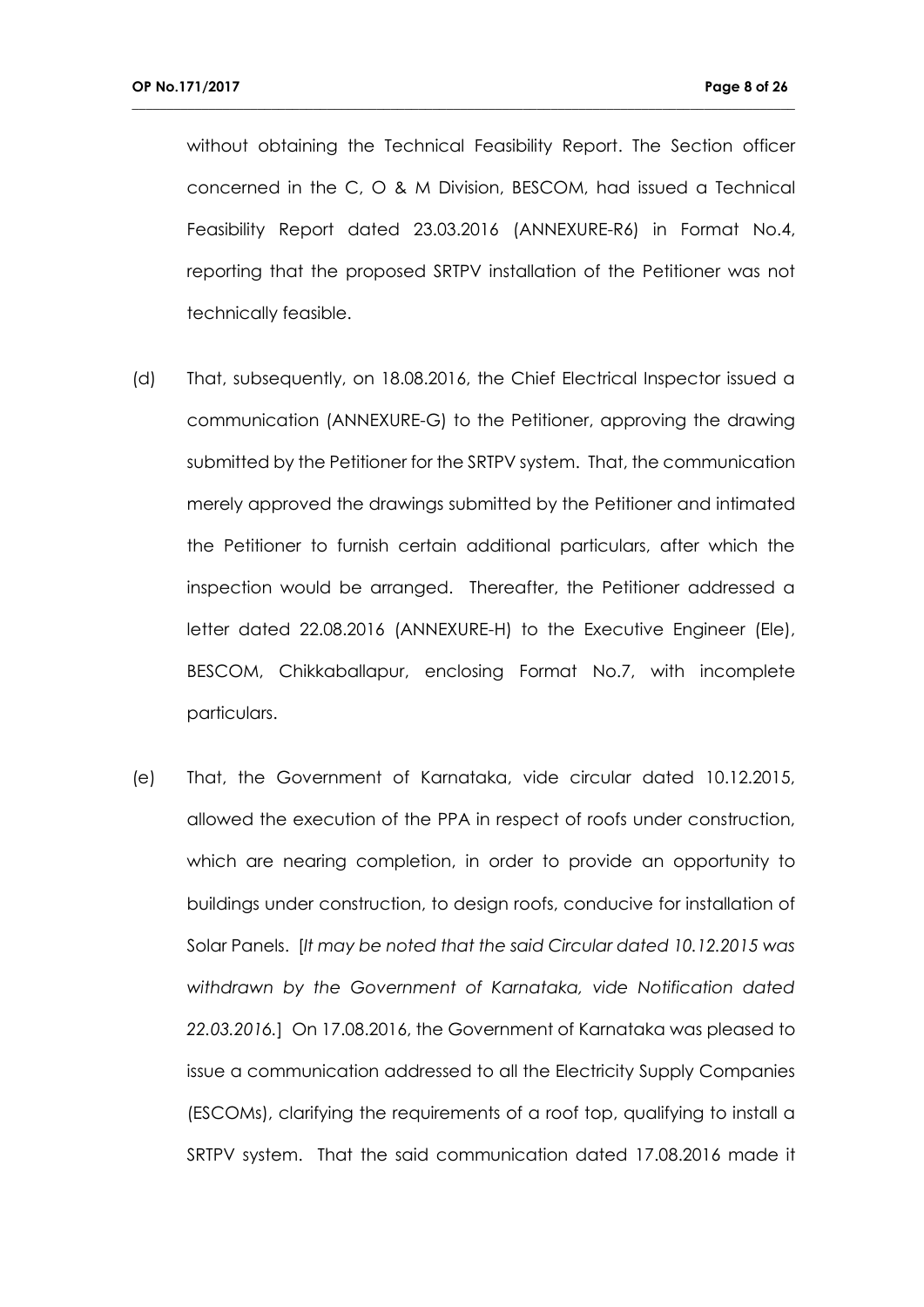without obtaining the Technical Feasibility Report. The Section officer concerned in the C, O & M Division, BESCOM, had issued a Technical Feasibility Report dated 23.03.2016 (ANNEXURE-R6) in Format No.4, reporting that the proposed SRTPV installation of the Petitioner was not technically feasible.

- (d) That, subsequently, on 18.08.2016, the Chief Electrical Inspector issued a communication (ANNEXURE-G) to the Petitioner, approving the drawing submitted by the Petitioner for the SRTPV system. That, the communication merely approved the drawings submitted by the Petitioner and intimated the Petitioner to furnish certain additional particulars, after which the inspection would be arranged. Thereafter, the Petitioner addressed a letter dated 22.08.2016 (ANNEXURE-H) to the Executive Engineer (Ele), BESCOM, Chikkaballapur, enclosing Format No.7, with incomplete particulars.
- (e) That, the Government of Karnataka, vide circular dated 10.12.2015, allowed the execution of the PPA in respect of roofs under construction, which are nearing completion, in order to provide an opportunity to buildings under construction, to design roofs, conducive for installation of Solar Panels. [*It may be noted that the said Circular dated 10.12.2015 was withdrawn by the Government of Karnataka, vide Notification dated 22.03.2016.*] On 17.08.2016, the Government of Karnataka was pleased to issue a communication addressed to all the Electricity Supply Companies (ESCOMs), clarifying the requirements of a roof top, qualifying to install a SRTPV system. That the said communication dated 17.08.2016 made it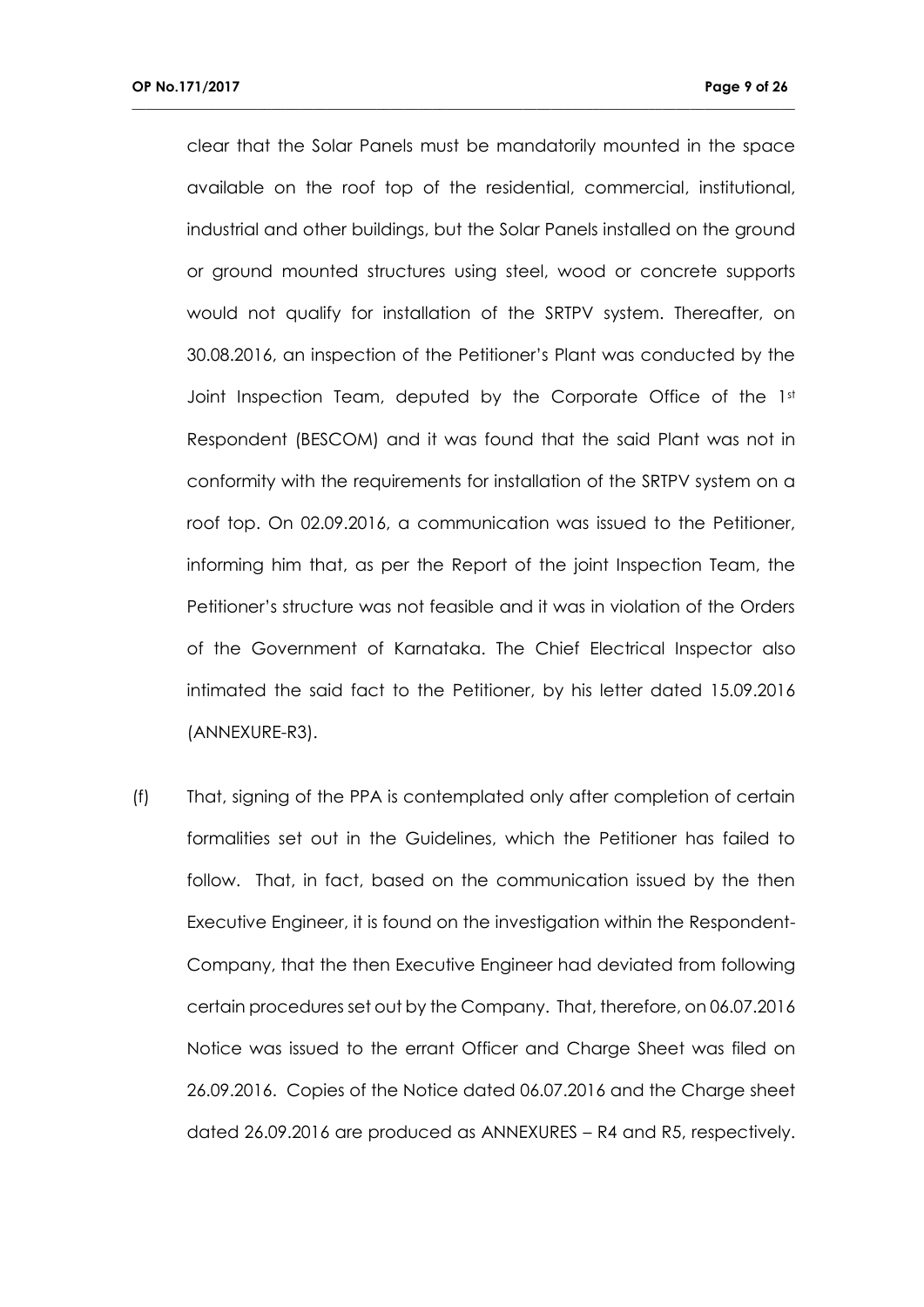clear that the Solar Panels must be mandatorily mounted in the space available on the roof top of the residential, commercial, institutional, industrial and other buildings, but the Solar Panels installed on the ground or ground mounted structures using steel, wood or concrete supports would not qualify for installation of the SRTPV system. Thereafter, on 30.08.2016, an inspection of the Petitioner's Plant was conducted by the Joint Inspection Team, deputed by the Corporate Office of the 1st Respondent (BESCOM) and it was found that the said Plant was not in conformity with the requirements for installation of the SRTPV system on a roof top. On 02.09.2016, a communication was issued to the Petitioner, informing him that, as per the Report of the joint Inspection Team, the Petitioner's structure was not feasible and it was in violation of the Orders of the Government of Karnataka. The Chief Electrical Inspector also intimated the said fact to the Petitioner, by his letter dated 15.09.2016 (ANNEXURE-R3).

**\_\_\_\_\_\_\_\_\_\_\_\_\_\_\_\_\_\_\_\_\_\_\_\_\_\_\_\_\_\_\_\_\_\_\_\_\_\_\_\_\_\_\_\_\_\_\_\_\_\_\_\_\_\_\_\_\_\_\_\_\_\_\_\_\_\_\_\_\_\_\_\_\_\_\_\_\_\_\_\_\_\_\_\_\_\_\_\_\_\_\_\_\_\_\_**

(f) That, signing of the PPA is contemplated only after completion of certain formalities set out in the Guidelines, which the Petitioner has failed to follow. That, in fact, based on the communication issued by the then Executive Engineer, it is found on the investigation within the Respondent-Company, that the then Executive Engineer had deviated from following certain procedures set out by the Company. That, therefore, on 06.07.2016 Notice was issued to the errant Officer and Charge Sheet was filed on 26.09.2016. Copies of the Notice dated 06.07.2016 and the Charge sheet dated 26.09.2016 are produced as ANNEXURES – R4 and R5, respectively.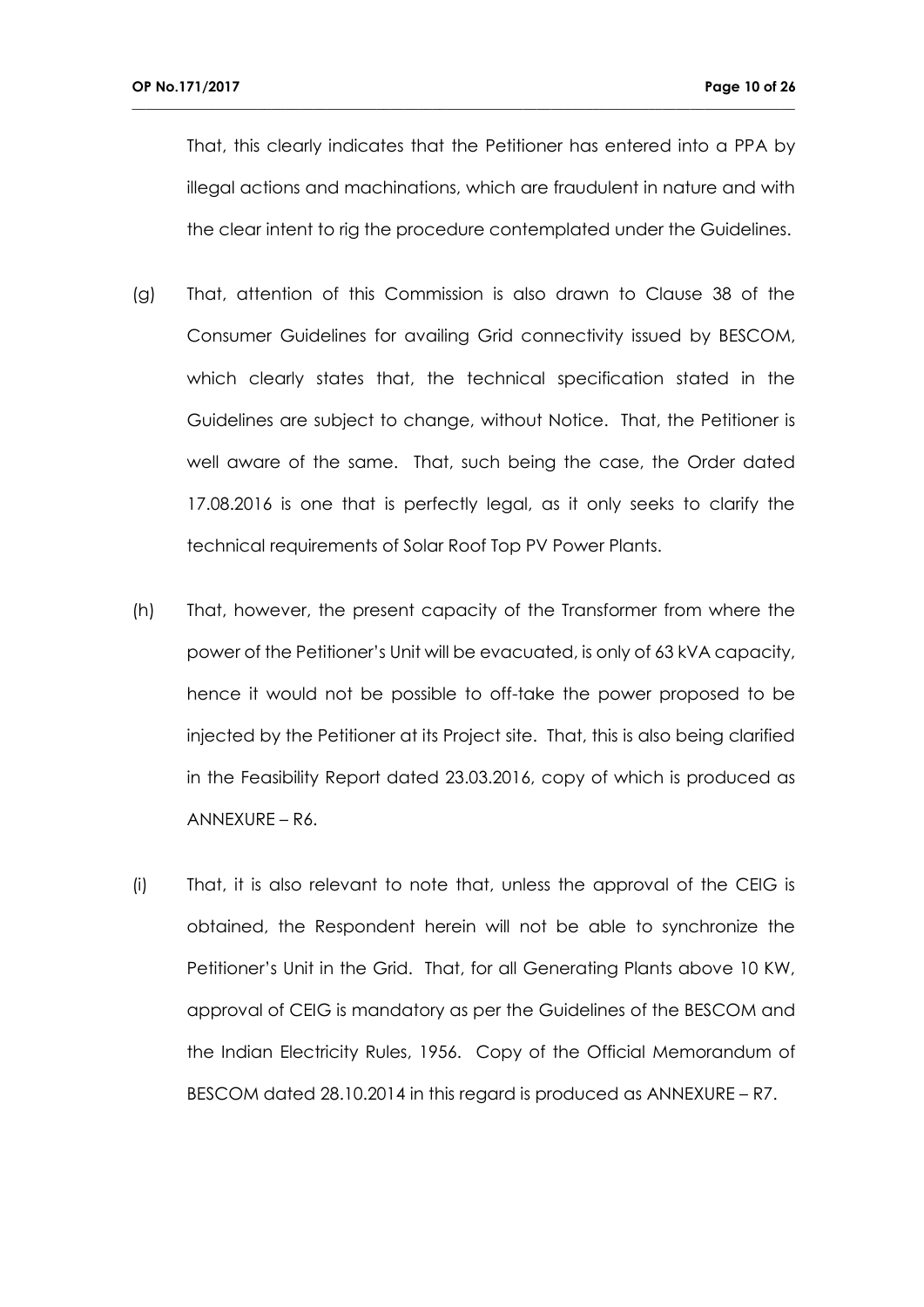That, this clearly indicates that the Petitioner has entered into a PPA by illegal actions and machinations, which are fraudulent in nature and with the clear intent to rig the procedure contemplated under the Guidelines.

- (g) That, attention of this Commission is also drawn to Clause 38 of the Consumer Guidelines for availing Grid connectivity issued by BESCOM, which clearly states that, the technical specification stated in the Guidelines are subject to change, without Notice. That, the Petitioner is well aware of the same. That, such being the case, the Order dated 17.08.2016 is one that is perfectly legal, as it only seeks to clarify the technical requirements of Solar Roof Top PV Power Plants.
- (h) That, however, the present capacity of the Transformer from where the power of the Petitioner's Unit will be evacuated, is only of 63 kVA capacity, hence it would not be possible to off-take the power proposed to be injected by the Petitioner at its Project site. That, this is also being clarified in the Feasibility Report dated 23.03.2016, copy of which is produced as ANNEXURE – R6.
- (i) That, it is also relevant to note that, unless the approval of the CEIG is obtained, the Respondent herein will not be able to synchronize the Petitioner's Unit in the Grid. That, for all Generating Plants above 10 KW, approval of CEIG is mandatory as per the Guidelines of the BESCOM and the Indian Electricity Rules, 1956. Copy of the Official Memorandum of BESCOM dated 28.10.2014 in this regard is produced as ANNEXURE – R7.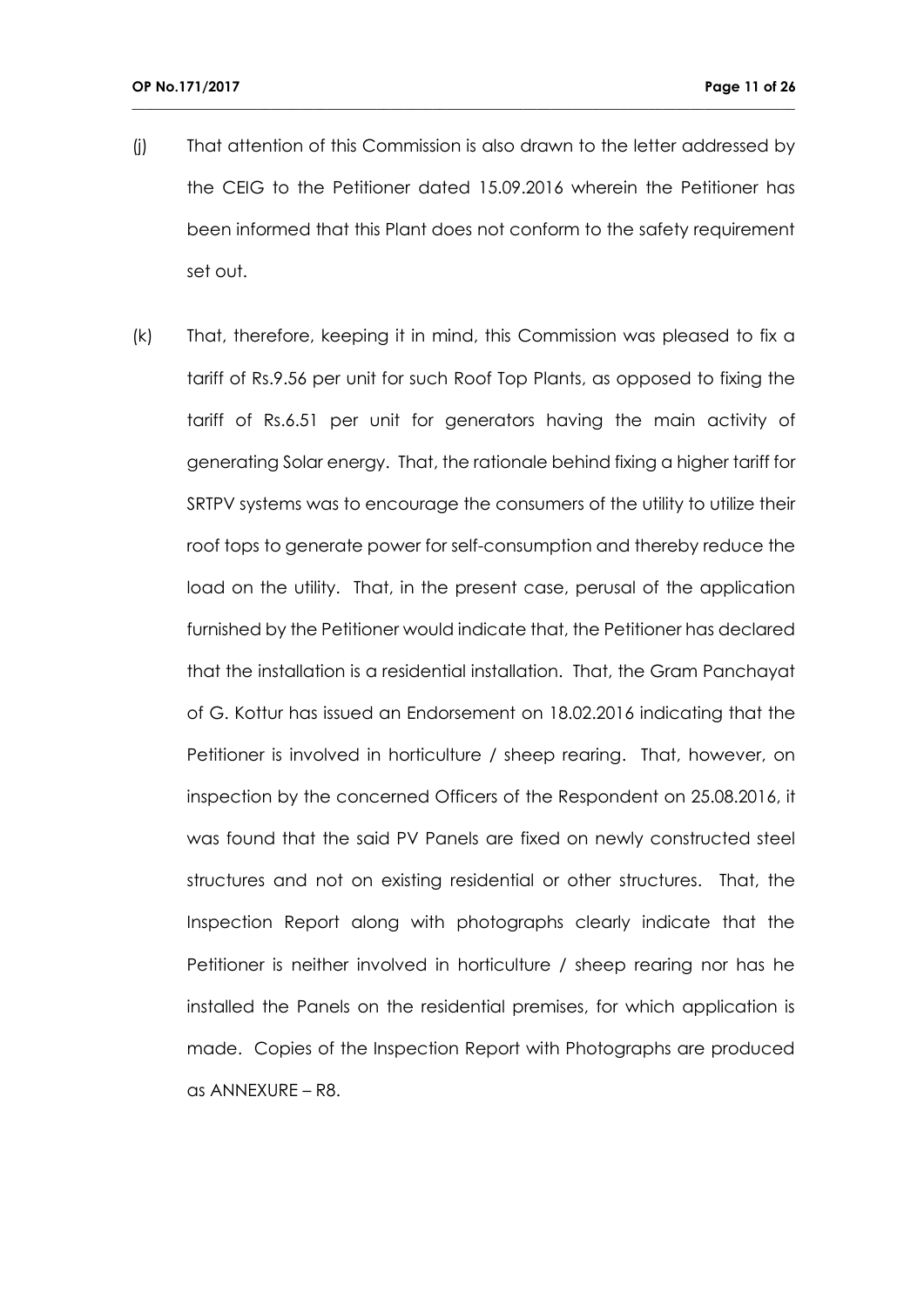(j) That attention of this Commission is also drawn to the letter addressed by the CEIG to the Petitioner dated 15.09.2016 wherein the Petitioner has been informed that this Plant does not conform to the safety requirement set out.

**\_\_\_\_\_\_\_\_\_\_\_\_\_\_\_\_\_\_\_\_\_\_\_\_\_\_\_\_\_\_\_\_\_\_\_\_\_\_\_\_\_\_\_\_\_\_\_\_\_\_\_\_\_\_\_\_\_\_\_\_\_\_\_\_\_\_\_\_\_\_\_\_\_\_\_\_\_\_\_\_\_\_\_\_\_\_\_\_\_\_\_\_\_\_\_**

(k) That, therefore, keeping it in mind, this Commission was pleased to fix a tariff of Rs.9.56 per unit for such Roof Top Plants, as opposed to fixing the tariff of Rs.6.51 per unit for generators having the main activity of generating Solar energy. That, the rationale behind fixing a higher tariff for SRTPV systems was to encourage the consumers of the utility to utilize their roof tops to generate power for self-consumption and thereby reduce the load on the utility. That, in the present case, perusal of the application furnished by the Petitioner would indicate that, the Petitioner has declared that the installation is a residential installation. That, the Gram Panchayat of G. Kottur has issued an Endorsement on 18.02.2016 indicating that the Petitioner is involved in horticulture / sheep rearing. That, however, on inspection by the concerned Officers of the Respondent on 25.08.2016, it was found that the said PV Panels are fixed on newly constructed steel structures and not on existing residential or other structures. That, the Inspection Report along with photographs clearly indicate that the Petitioner is neither involved in horticulture / sheep rearing nor has he installed the Panels on the residential premises, for which application is made. Copies of the Inspection Report with Photographs are produced as ANNEXURE – R8.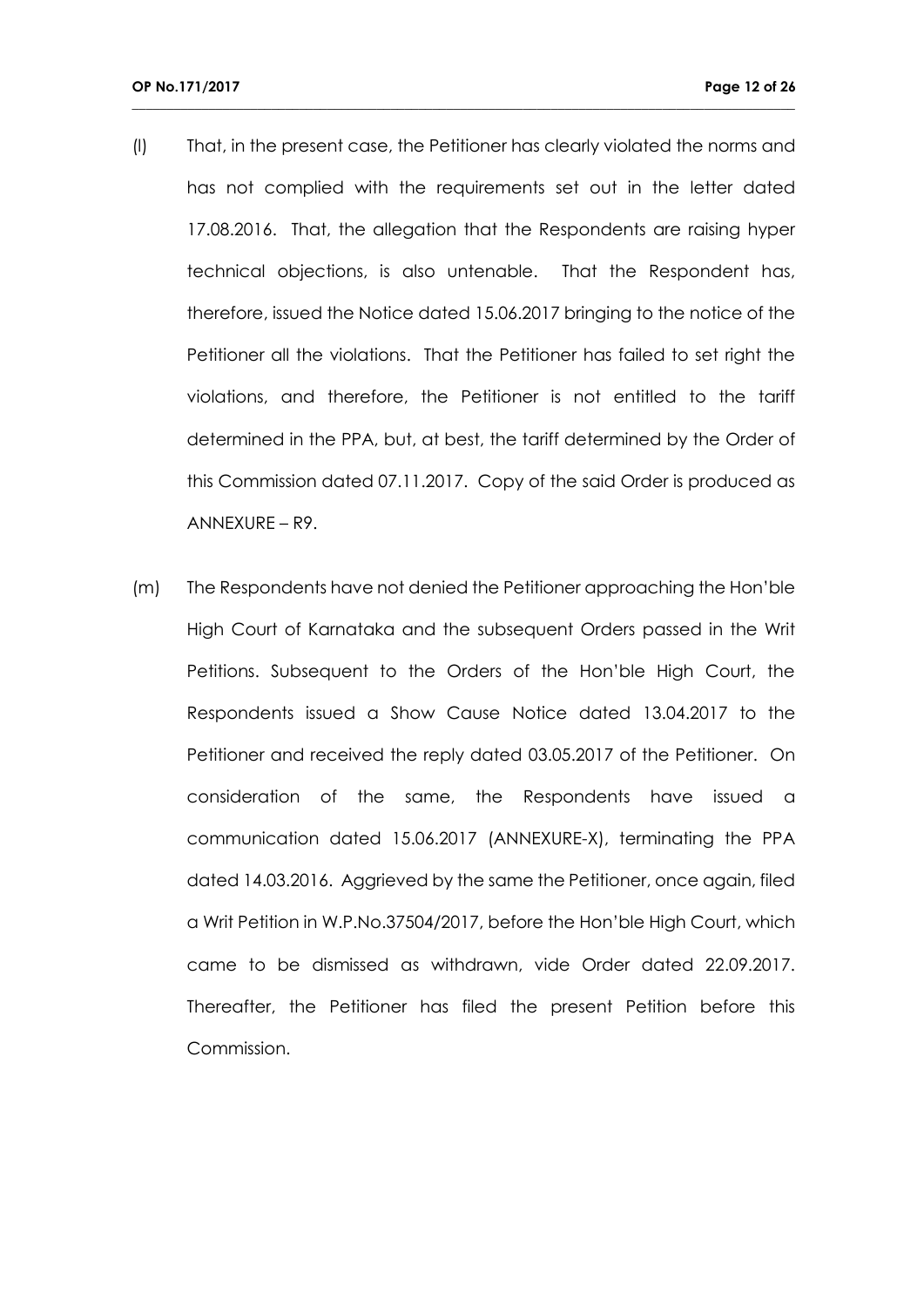(l) That, in the present case, the Petitioner has clearly violated the norms and has not complied with the requirements set out in the letter dated 17.08.2016. That, the allegation that the Respondents are raising hyper technical objections, is also untenable. That the Respondent has, therefore, issued the Notice dated 15.06.2017 bringing to the notice of the Petitioner all the violations. That the Petitioner has failed to set right the violations, and therefore, the Petitioner is not entitled to the tariff determined in the PPA, but, at best, the tariff determined by the Order of this Commission dated 07.11.2017. Copy of the said Order is produced as ANNEXURE – R9.

**\_\_\_\_\_\_\_\_\_\_\_\_\_\_\_\_\_\_\_\_\_\_\_\_\_\_\_\_\_\_\_\_\_\_\_\_\_\_\_\_\_\_\_\_\_\_\_\_\_\_\_\_\_\_\_\_\_\_\_\_\_\_\_\_\_\_\_\_\_\_\_\_\_\_\_\_\_\_\_\_\_\_\_\_\_\_\_\_\_\_\_\_\_\_\_**

(m) The Respondents have not denied the Petitioner approaching the Hon'ble High Court of Karnataka and the subsequent Orders passed in the Writ Petitions. Subsequent to the Orders of the Hon'ble High Court, the Respondents issued a Show Cause Notice dated 13.04.2017 to the Petitioner and received the reply dated 03.05.2017 of the Petitioner. On consideration of the same, the Respondents have issued a communication dated 15.06.2017 (ANNEXURE-X), terminating the PPA dated 14.03.2016. Aggrieved by the same the Petitioner, once again, filed a Writ Petition in W.P.No.37504/2017, before the Hon'ble High Court, which came to be dismissed as withdrawn, vide Order dated 22.09.2017. Thereafter, the Petitioner has filed the present Petition before this Commission.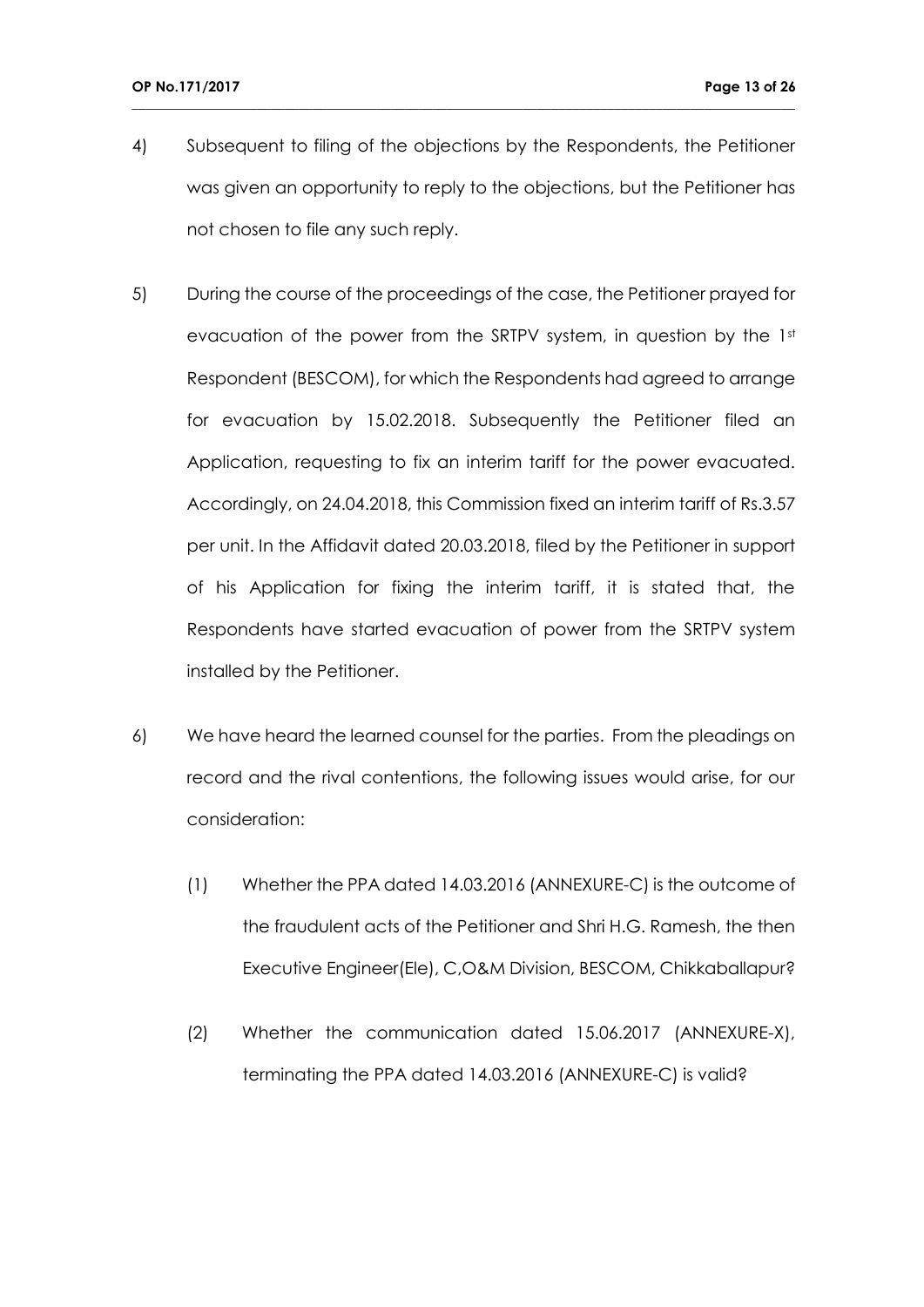4) Subsequent to filing of the objections by the Respondents, the Petitioner was given an opportunity to reply to the objections, but the Petitioner has not chosen to file any such reply.

- 5) During the course of the proceedings of the case, the Petitioner prayed for evacuation of the power from the SRTPV system, in question by the 1st Respondent (BESCOM), for which the Respondents had agreed to arrange for evacuation by 15.02.2018. Subsequently the Petitioner filed an Application, requesting to fix an interim tariff for the power evacuated. Accordingly, on 24.04.2018, this Commission fixed an interim tariff of Rs.3.57 per unit. In the Affidavit dated 20.03.2018, filed by the Petitioner in support of his Application for fixing the interim tariff, it is stated that, the Respondents have started evacuation of power from the SRTPV system installed by the Petitioner.
- 6) We have heard the learned counsel for the parties. From the pleadings on record and the rival contentions, the following issues would arise, for our consideration:
	- (1) Whether the PPA dated 14.03.2016 (ANNEXURE-C) is the outcome of the fraudulent acts of the Petitioner and Shri H.G. Ramesh, the then Executive Engineer(Ele), C,O&M Division, BESCOM, Chikkaballapur?
	- (2) Whether the communication dated 15.06.2017 (ANNEXURE-X), terminating the PPA dated 14.03.2016 (ANNEXURE-C) is valid?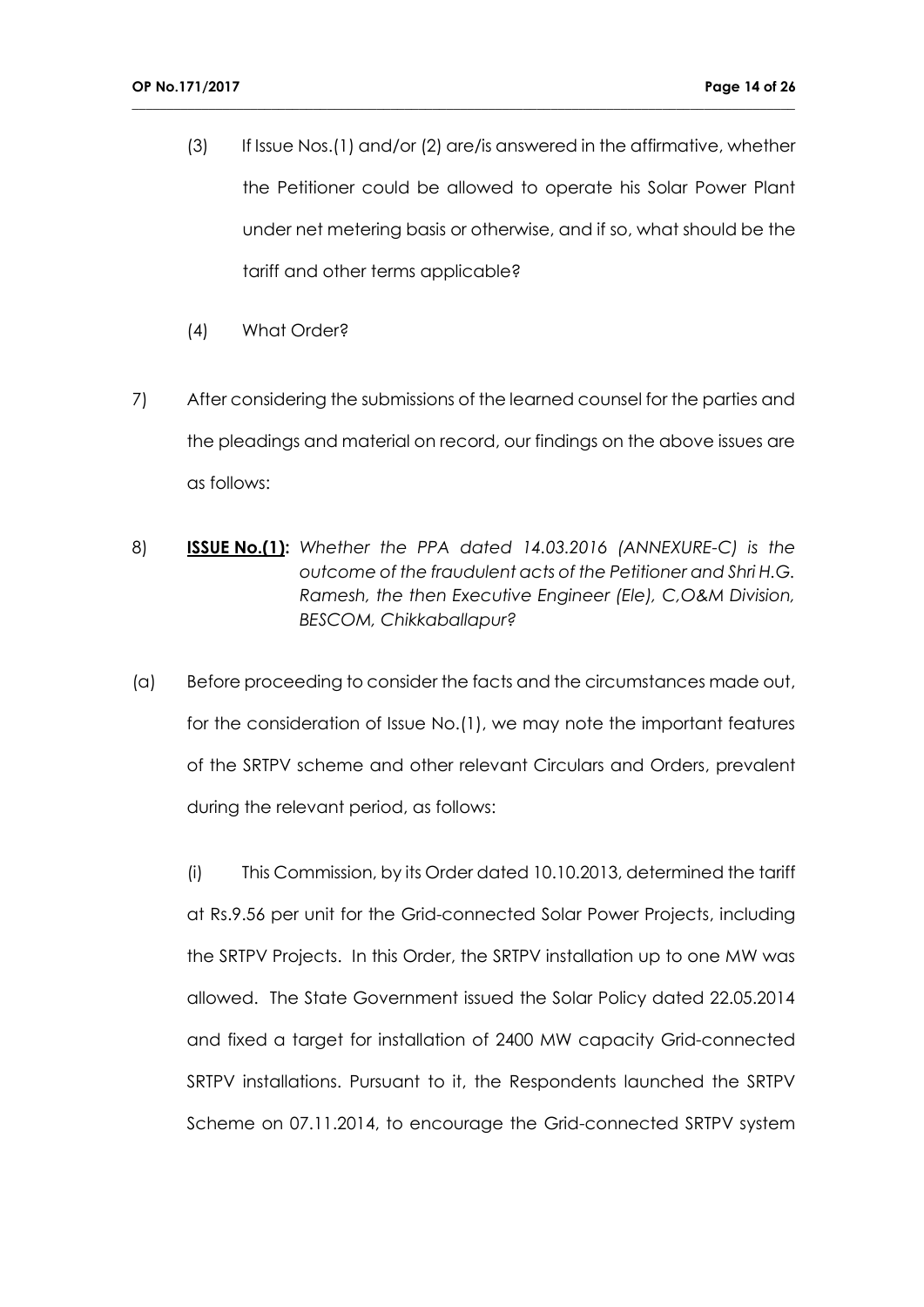(3) If Issue Nos.(1) and/or (2) are/is answered in the affirmative, whether the Petitioner could be allowed to operate his Solar Power Plant under net metering basis or otherwise, and if so, what should be the tariff and other terms applicable?

**\_\_\_\_\_\_\_\_\_\_\_\_\_\_\_\_\_\_\_\_\_\_\_\_\_\_\_\_\_\_\_\_\_\_\_\_\_\_\_\_\_\_\_\_\_\_\_\_\_\_\_\_\_\_\_\_\_\_\_\_\_\_\_\_\_\_\_\_\_\_\_\_\_\_\_\_\_\_\_\_\_\_\_\_\_\_\_\_\_\_\_\_\_\_\_**

- (4) What Order?
- 7) After considering the submissions of the learned counsel for the parties and the pleadings and material on record, our findings on the above issues are as follows:
- 8) **ISSUE No.(1):** *Whether the PPA dated 14.03.2016 (ANNEXURE-C) is the outcome of the fraudulent acts of the Petitioner and Shri H.G. Ramesh, the then Executive Engineer (Ele), C,O&M Division, BESCOM, Chikkaballapur?*
- (a) Before proceeding to consider the facts and the circumstances made out, for the consideration of Issue No.(1), we may note the important features of the SRTPV scheme and other relevant Circulars and Orders, prevalent during the relevant period, as follows:

(i) This Commission, by its Order dated 10.10.2013, determined the tariff at Rs.9.56 per unit for the Grid-connected Solar Power Projects, including the SRTPV Projects. In this Order, the SRTPV installation up to one MW was allowed. The State Government issued the Solar Policy dated 22.05.2014 and fixed a target for installation of 2400 MW capacity Grid-connected SRTPV installations. Pursuant to it, the Respondents launched the SRTPV Scheme on 07.11.2014, to encourage the Grid-connected SRTPV system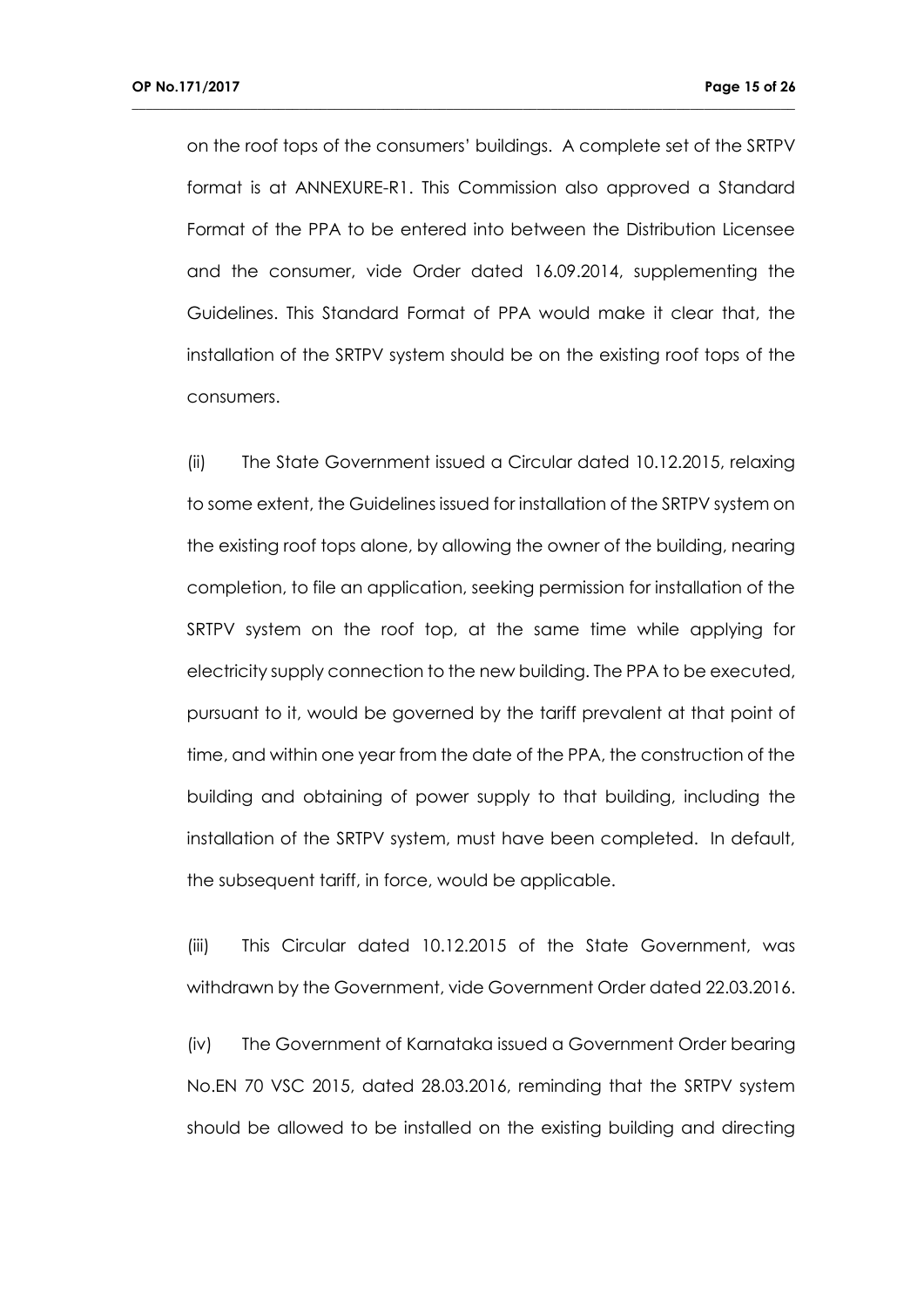on the roof tops of the consumers' buildings. A complete set of the SRTPV format is at ANNEXURE-R1. This Commission also approved a Standard Format of the PPA to be entered into between the Distribution Licensee and the consumer, vide Order dated 16.09.2014, supplementing the Guidelines. This Standard Format of PPA would make it clear that, the installation of the SRTPV system should be on the existing roof tops of the consumers.

**\_\_\_\_\_\_\_\_\_\_\_\_\_\_\_\_\_\_\_\_\_\_\_\_\_\_\_\_\_\_\_\_\_\_\_\_\_\_\_\_\_\_\_\_\_\_\_\_\_\_\_\_\_\_\_\_\_\_\_\_\_\_\_\_\_\_\_\_\_\_\_\_\_\_\_\_\_\_\_\_\_\_\_\_\_\_\_\_\_\_\_\_\_\_\_**

(ii) The State Government issued a Circular dated 10.12.2015, relaxing to some extent, the Guidelines issued for installation of the SRTPV system on the existing roof tops alone, by allowing the owner of the building, nearing completion, to file an application, seeking permission for installation of the SRTPV system on the roof top, at the same time while applying for electricity supply connection to the new building. The PPA to be executed, pursuant to it, would be governed by the tariff prevalent at that point of time, and within one year from the date of the PPA, the construction of the building and obtaining of power supply to that building, including the installation of the SRTPV system, must have been completed. In default, the subsequent tariff, in force, would be applicable.

(iii) This Circular dated 10.12.2015 of the State Government, was withdrawn by the Government, vide Government Order dated 22.03.2016.

(iv) The Government of Karnataka issued a Government Order bearing No.EN 70 VSC 2015, dated 28.03.2016, reminding that the SRTPV system should be allowed to be installed on the existing building and directing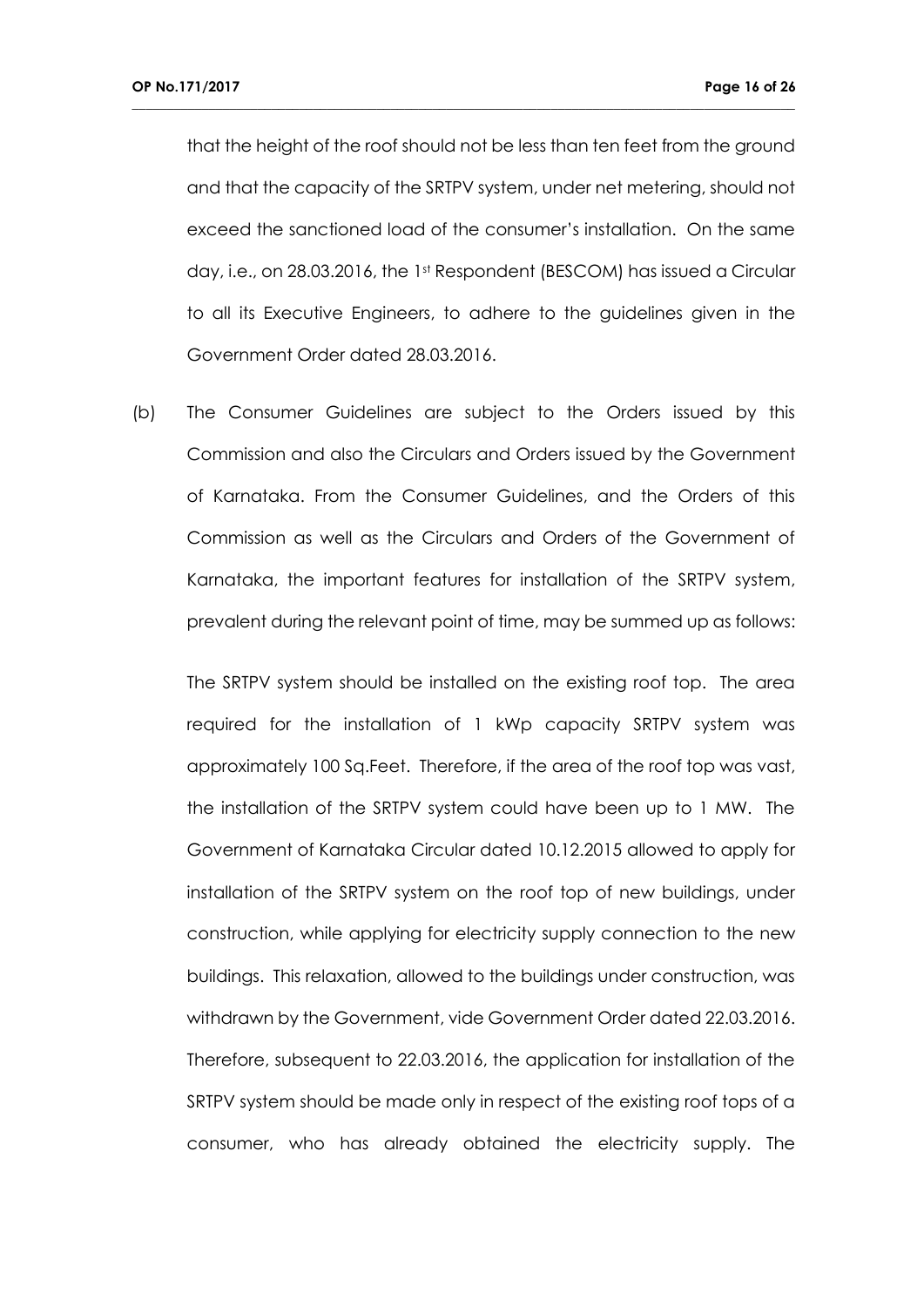that the height of the roof should not be less than ten feet from the ground and that the capacity of the SRTPV system, under net metering, should not exceed the sanctioned load of the consumer's installation. On the same day, i.e., on 28.03.2016, the 1st Respondent (BESCOM) has issued a Circular to all its Executive Engineers, to adhere to the guidelines given in the Government Order dated 28.03.2016.

**\_\_\_\_\_\_\_\_\_\_\_\_\_\_\_\_\_\_\_\_\_\_\_\_\_\_\_\_\_\_\_\_\_\_\_\_\_\_\_\_\_\_\_\_\_\_\_\_\_\_\_\_\_\_\_\_\_\_\_\_\_\_\_\_\_\_\_\_\_\_\_\_\_\_\_\_\_\_\_\_\_\_\_\_\_\_\_\_\_\_\_\_\_\_\_**

(b) The Consumer Guidelines are subject to the Orders issued by this Commission and also the Circulars and Orders issued by the Government of Karnataka. From the Consumer Guidelines, and the Orders of this Commission as well as the Circulars and Orders of the Government of Karnataka, the important features for installation of the SRTPV system, prevalent during the relevant point of time, may be summed up as follows:

The SRTPV system should be installed on the existing roof top. The area required for the installation of 1 kWp capacity SRTPV system was approximately 100 Sq.Feet. Therefore, if the area of the roof top was vast, the installation of the SRTPV system could have been up to 1 MW. The Government of Karnataka Circular dated 10.12.2015 allowed to apply for installation of the SRTPV system on the roof top of new buildings, under construction, while applying for electricity supply connection to the new buildings. This relaxation, allowed to the buildings under construction, was withdrawn by the Government, vide Government Order dated 22.03.2016. Therefore, subsequent to 22.03.2016, the application for installation of the SRTPV system should be made only in respect of the existing roof tops of a consumer, who has already obtained the electricity supply. The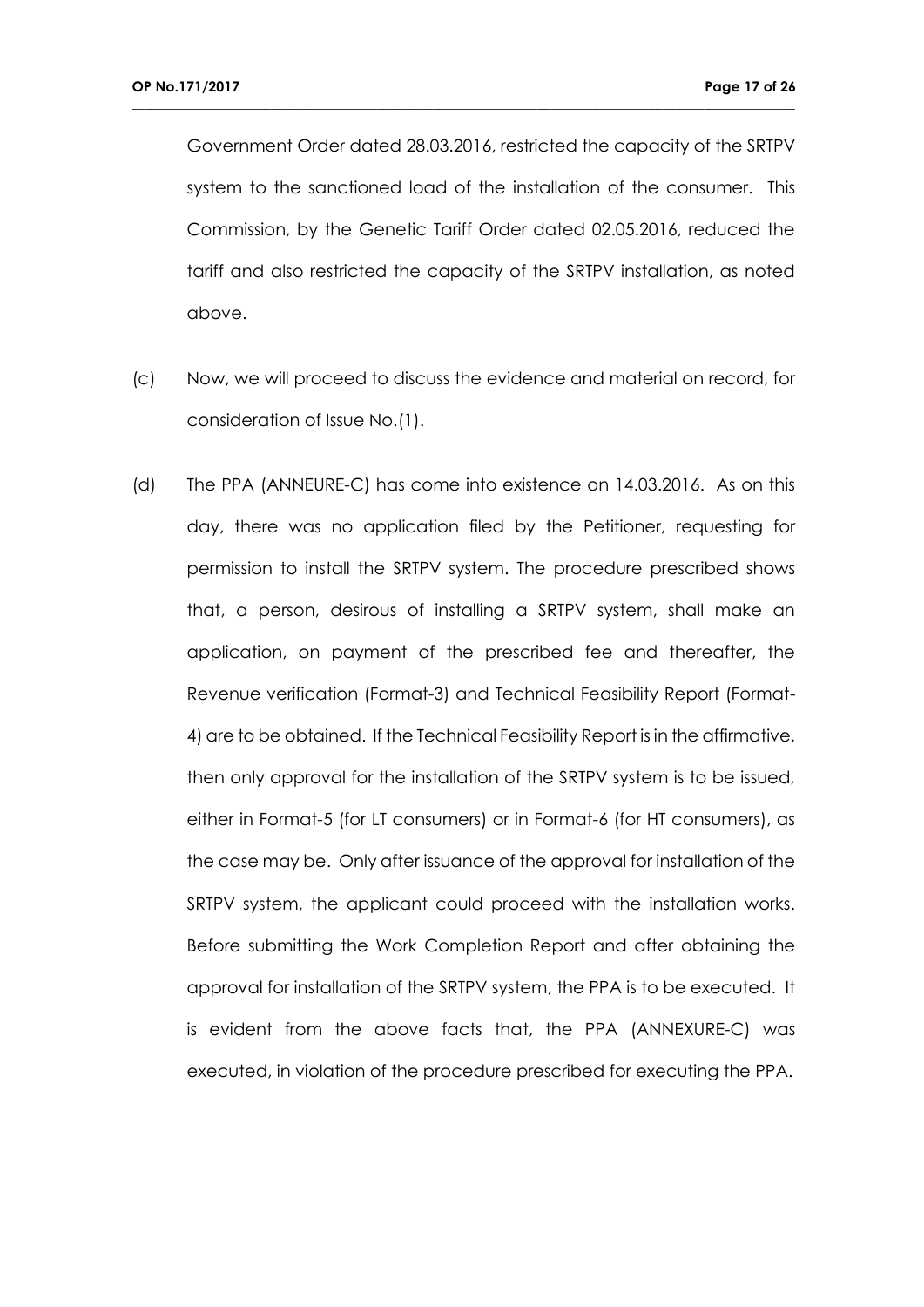Government Order dated 28.03.2016, restricted the capacity of the SRTPV system to the sanctioned load of the installation of the consumer. This Commission, by the Genetic Tariff Order dated 02.05.2016, reduced the tariff and also restricted the capacity of the SRTPV installation, as noted above.

- (c) Now, we will proceed to discuss the evidence and material on record, for consideration of Issue No.(1).
- (d) The PPA (ANNEURE-C) has come into existence on 14.03.2016. As on this day, there was no application filed by the Petitioner, requesting for permission to install the SRTPV system. The procedure prescribed shows that, a person, desirous of installing a SRTPV system, shall make an application, on payment of the prescribed fee and thereafter, the Revenue verification (Format-3) and Technical Feasibility Report (Format-4) are to be obtained. If the Technical Feasibility Report is in the affirmative, then only approval for the installation of the SRTPV system is to be issued, either in Format-5 (for LT consumers) or in Format-6 (for HT consumers), as the case may be. Only after issuance of the approval for installation of the SRTPV system, the applicant could proceed with the installation works. Before submitting the Work Completion Report and after obtaining the approval for installation of the SRTPV system, the PPA is to be executed. It is evident from the above facts that, the PPA (ANNEXURE-C) was executed, in violation of the procedure prescribed for executing the PPA.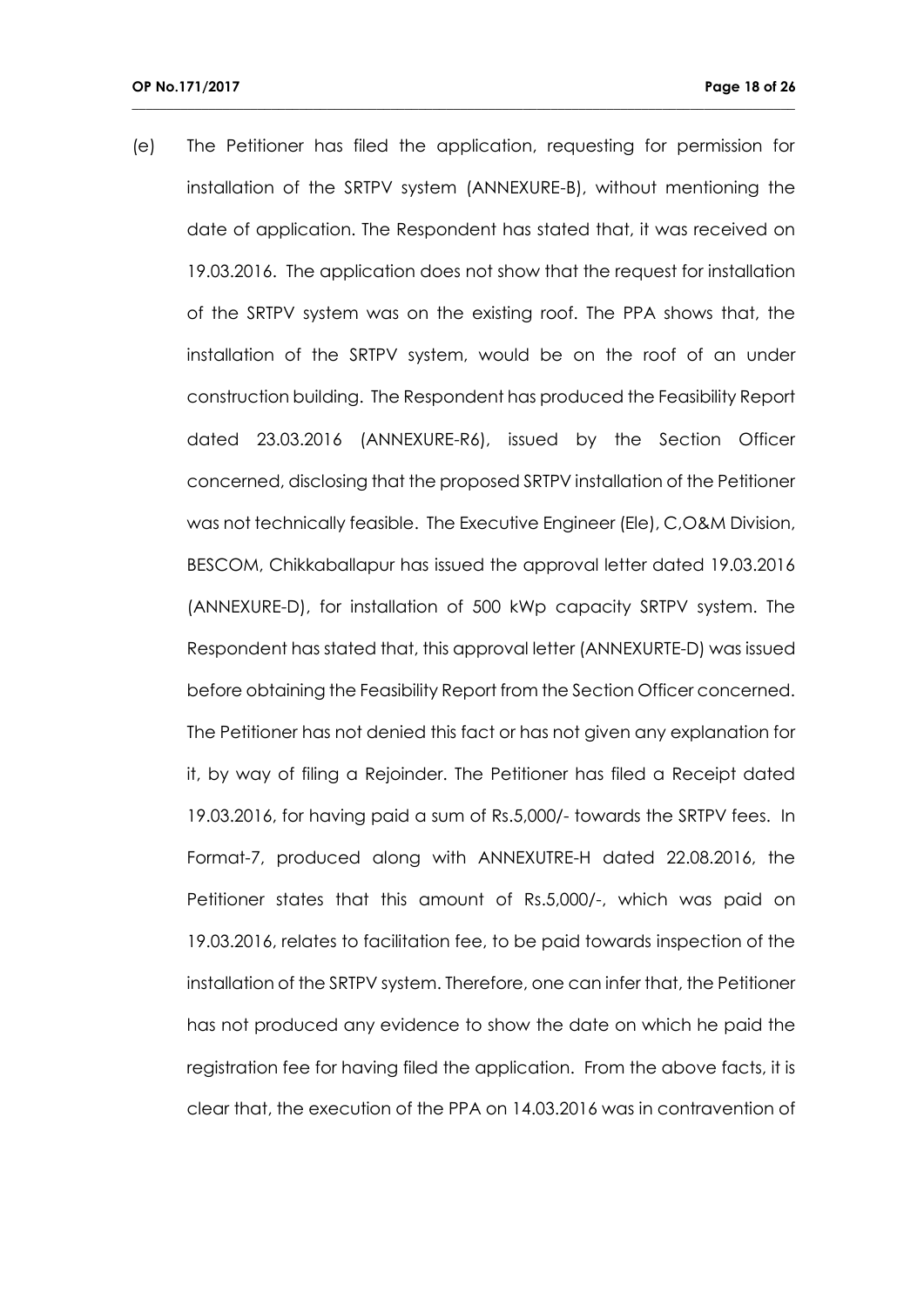(e) The Petitioner has filed the application, requesting for permission for installation of the SRTPV system (ANNEXURE-B), without mentioning the date of application. The Respondent has stated that, it was received on 19.03.2016. The application does not show that the request for installation of the SRTPV system was on the existing roof. The PPA shows that, the installation of the SRTPV system, would be on the roof of an under construction building. The Respondent has produced the Feasibility Report dated 23.03.2016 (ANNEXURE-R6), issued by the Section Officer concerned, disclosing that the proposed SRTPV installation of the Petitioner was not technically feasible. The Executive Engineer (Ele), C,O&M Division, BESCOM, Chikkaballapur has issued the approval letter dated 19.03.2016 (ANNEXURE-D), for installation of 500 kWp capacity SRTPV system. The Respondent has stated that, this approval letter (ANNEXURTE-D) was issued before obtaining the Feasibility Report from the Section Officer concerned. The Petitioner has not denied this fact or has not given any explanation for it, by way of filing a Rejoinder. The Petitioner has filed a Receipt dated 19.03.2016, for having paid a sum of Rs.5,000/- towards the SRTPV fees. In Format-7, produced along with ANNEXUTRE-H dated 22.08.2016, the Petitioner states that this amount of Rs.5,000/-, which was paid on 19.03.2016, relates to facilitation fee, to be paid towards inspection of the installation of the SRTPV system. Therefore, one can infer that, the Petitioner has not produced any evidence to show the date on which he paid the registration fee for having filed the application. From the above facts, it is clear that, the execution of the PPA on 14.03.2016 was in contravention of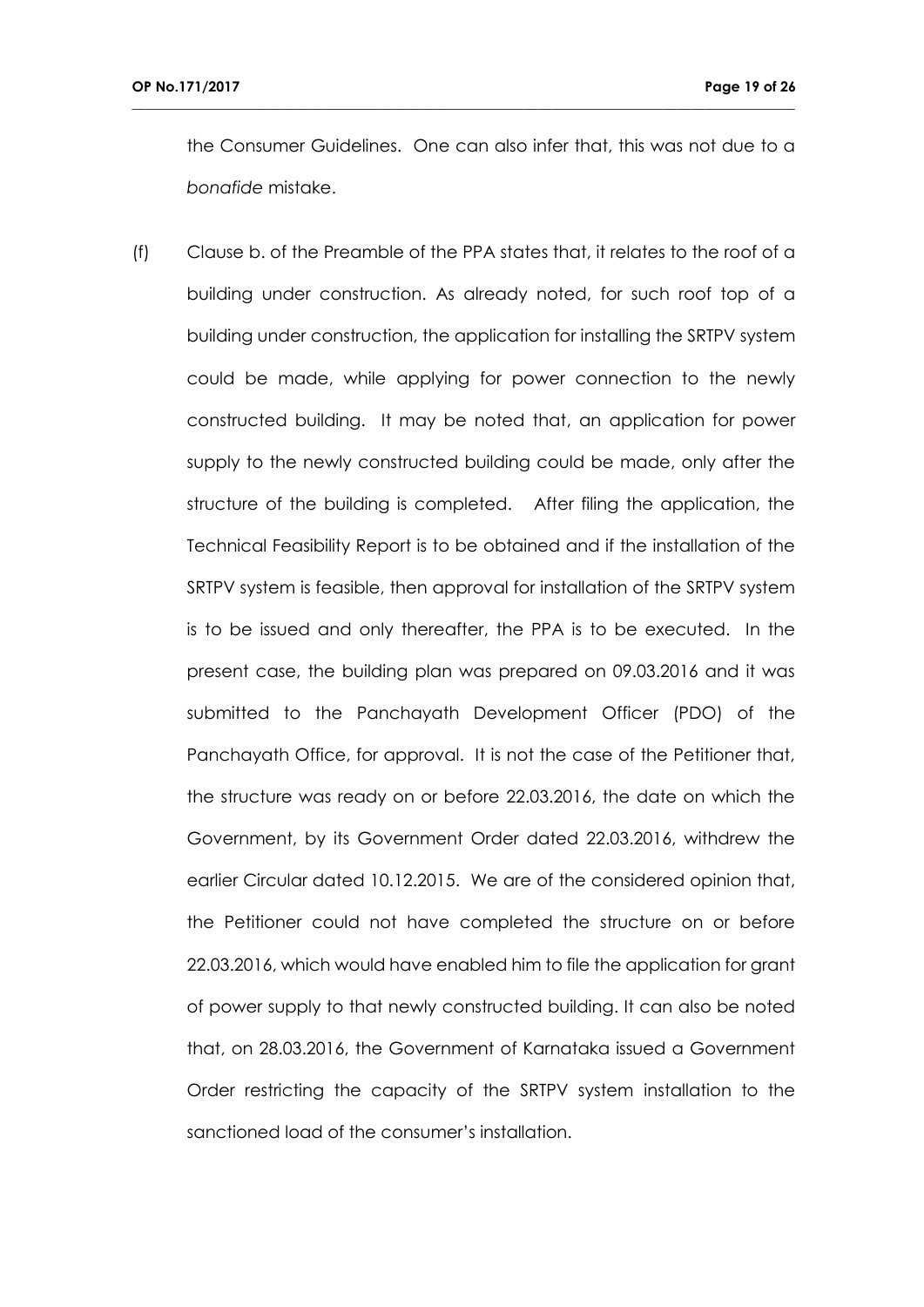the Consumer Guidelines. One can also infer that, this was not due to a *bonafide* mistake.

**\_\_\_\_\_\_\_\_\_\_\_\_\_\_\_\_\_\_\_\_\_\_\_\_\_\_\_\_\_\_\_\_\_\_\_\_\_\_\_\_\_\_\_\_\_\_\_\_\_\_\_\_\_\_\_\_\_\_\_\_\_\_\_\_\_\_\_\_\_\_\_\_\_\_\_\_\_\_\_\_\_\_\_\_\_\_\_\_\_\_\_\_\_\_\_**

(f) Clause b. of the Preamble of the PPA states that, it relates to the roof of a building under construction. As already noted, for such roof top of a building under construction, the application for installing the SRTPV system could be made, while applying for power connection to the newly constructed building. It may be noted that, an application for power supply to the newly constructed building could be made, only after the structure of the building is completed. After filing the application, the Technical Feasibility Report is to be obtained and if the installation of the SRTPV system is feasible, then approval for installation of the SRTPV system is to be issued and only thereafter, the PPA is to be executed. In the present case, the building plan was prepared on 09.03.2016 and it was submitted to the Panchayath Development Officer (PDO) of the Panchayath Office, for approval. It is not the case of the Petitioner that, the structure was ready on or before 22.03.2016, the date on which the Government, by its Government Order dated 22.03.2016, withdrew the earlier Circular dated 10.12.2015. We are of the considered opinion that, the Petitioner could not have completed the structure on or before 22.03.2016, which would have enabled him to file the application for grant of power supply to that newly constructed building. It can also be noted that, on 28.03.2016, the Government of Karnataka issued a Government Order restricting the capacity of the SRTPV system installation to the sanctioned load of the consumer's installation.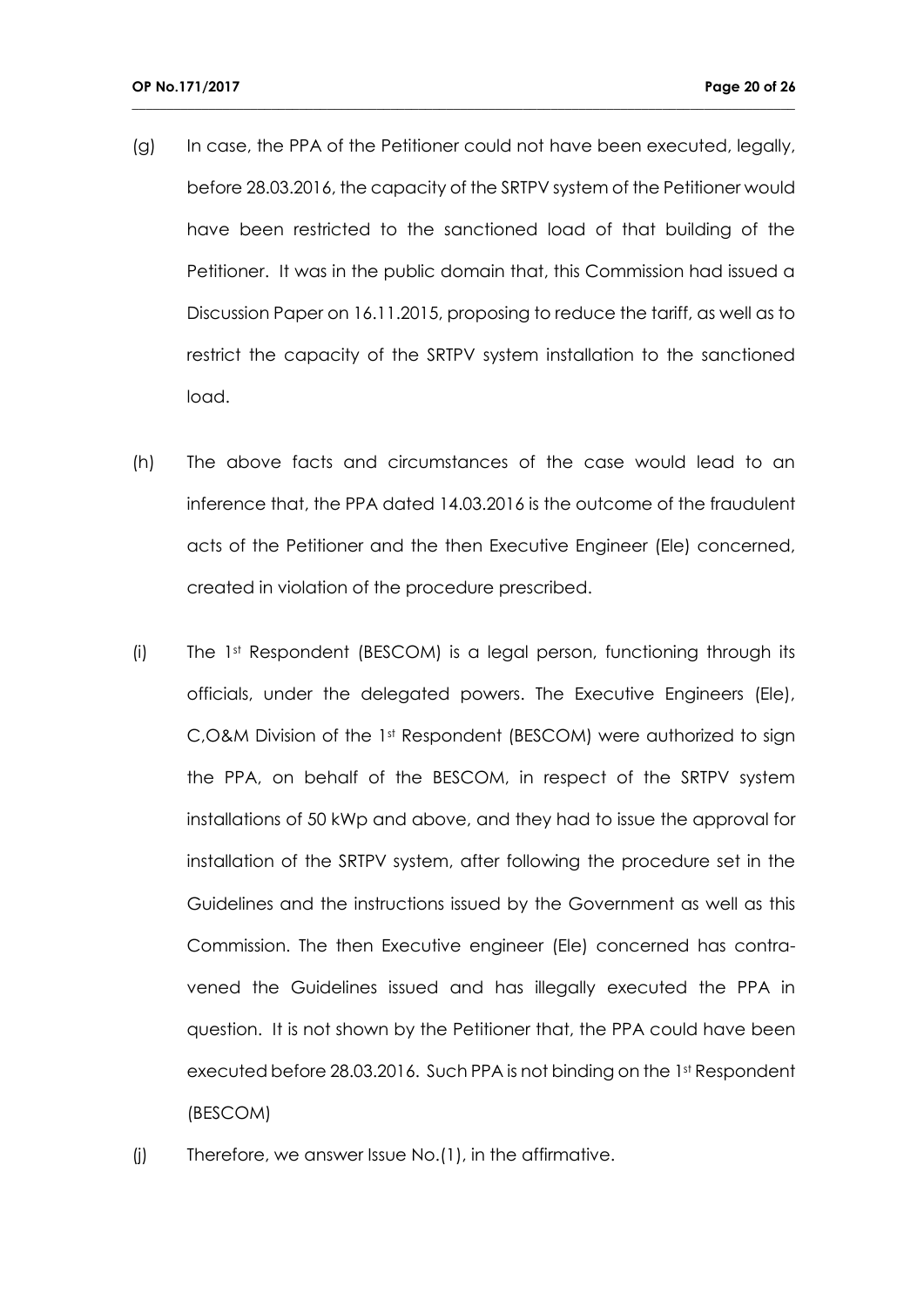(g) In case, the PPA of the Petitioner could not have been executed, legally, before 28.03.2016, the capacity of the SRTPV system of the Petitioner would have been restricted to the sanctioned load of that building of the Petitioner. It was in the public domain that, this Commission had issued a Discussion Paper on 16.11.2015, proposing to reduce the tariff, as well as to restrict the capacity of the SRTPV system installation to the sanctioned load.

- (h) The above facts and circumstances of the case would lead to an inference that, the PPA dated 14.03.2016 is the outcome of the fraudulent acts of the Petitioner and the then Executive Engineer (Ele) concerned, created in violation of the procedure prescribed.
- (i) The 1st Respondent (BESCOM) is a legal person, functioning through its officials, under the delegated powers. The Executive Engineers (Ele), C, O&M Division of the 1<sup>st</sup> Respondent (BESCOM) were authorized to sign the PPA, on behalf of the BESCOM, in respect of the SRTPV system installations of 50 kWp and above, and they had to issue the approval for installation of the SRTPV system, after following the procedure set in the Guidelines and the instructions issued by the Government as well as this Commission. The then Executive engineer (Ele) concerned has contravened the Guidelines issued and has illegally executed the PPA in question. It is not shown by the Petitioner that, the PPA could have been executed before 28.03.2016. Such PPA is not binding on the 1st Respondent (BESCOM)
- (j) Therefore, we answer Issue No.(1), in the affirmative.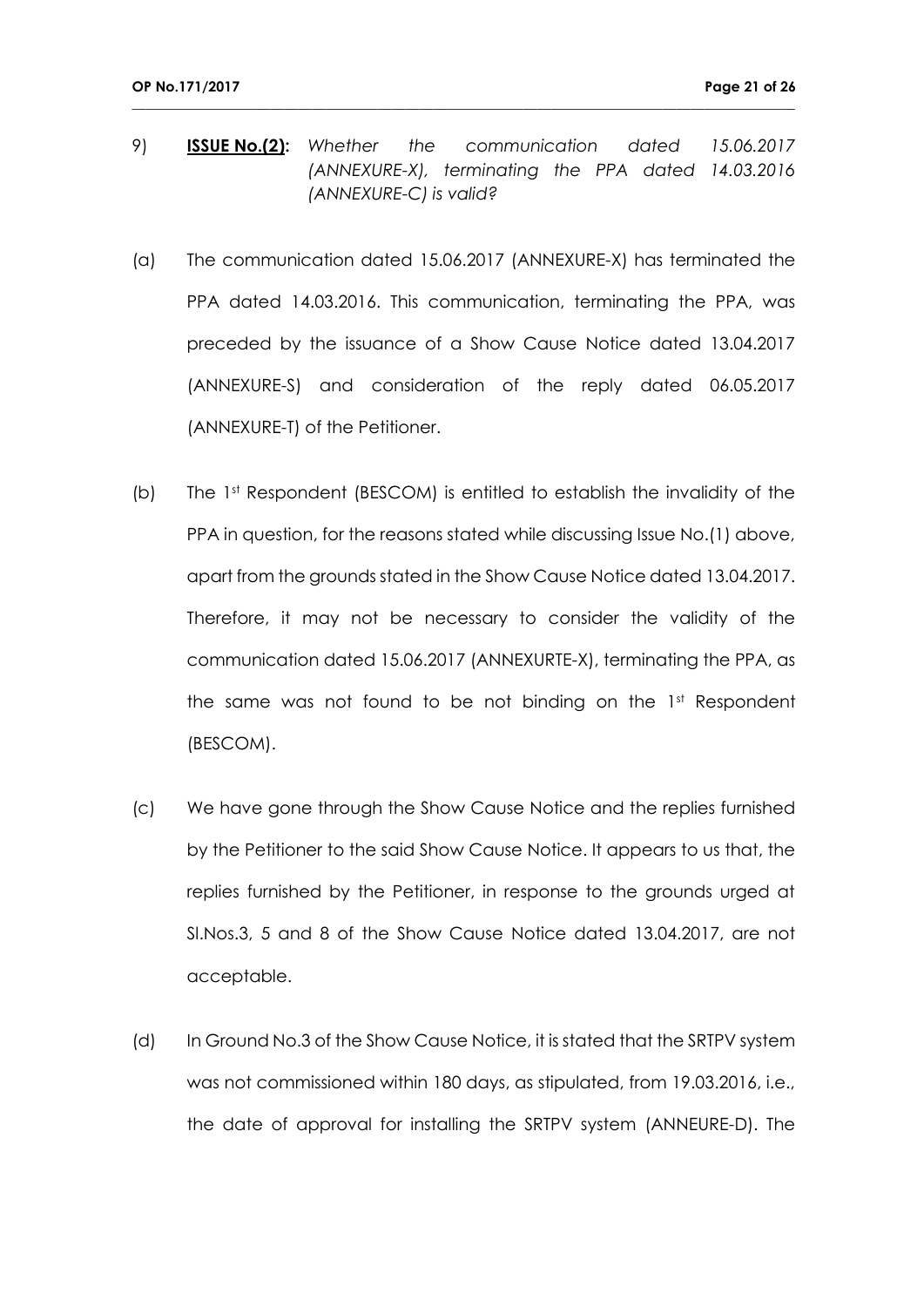9) **ISSUE No.(2):** *Whether the communication dated 15.06.2017 (ANNEXURE-X), terminating the PPA dated 14.03.2016 (ANNEXURE-C) is valid?*

- (a) The communication dated 15.06.2017 (ANNEXURE-X) has terminated the PPA dated 14.03.2016. This communication, terminating the PPA, was preceded by the issuance of a Show Cause Notice dated 13.04.2017 (ANNEXURE-S) and consideration of the reply dated 06.05.2017 (ANNEXURE-T) of the Petitioner.
- (b) The 1st Respondent (BESCOM) is entitled to establish the invalidity of the PPA in question, for the reasons stated while discussing Issue No.(1) above, apart from the grounds stated in the Show Cause Notice dated 13.04.2017. Therefore, it may not be necessary to consider the validity of the communication dated 15.06.2017 (ANNEXURTE-X), terminating the PPA, as the same was not found to be not binding on the  $1<sup>st</sup>$  Respondent (BESCOM).
- (c) We have gone through the Show Cause Notice and the replies furnished by the Petitioner to the said Show Cause Notice. It appears to us that, the replies furnished by the Petitioner, in response to the grounds urged at Sl.Nos.3, 5 and 8 of the Show Cause Notice dated 13.04.2017, are not acceptable.
- (d) In Ground No.3 of the Show Cause Notice, it is stated that the SRTPV system was not commissioned within 180 days, as stipulated, from 19.03.2016, i.e., the date of approval for installing the SRTPV system (ANNEURE-D). The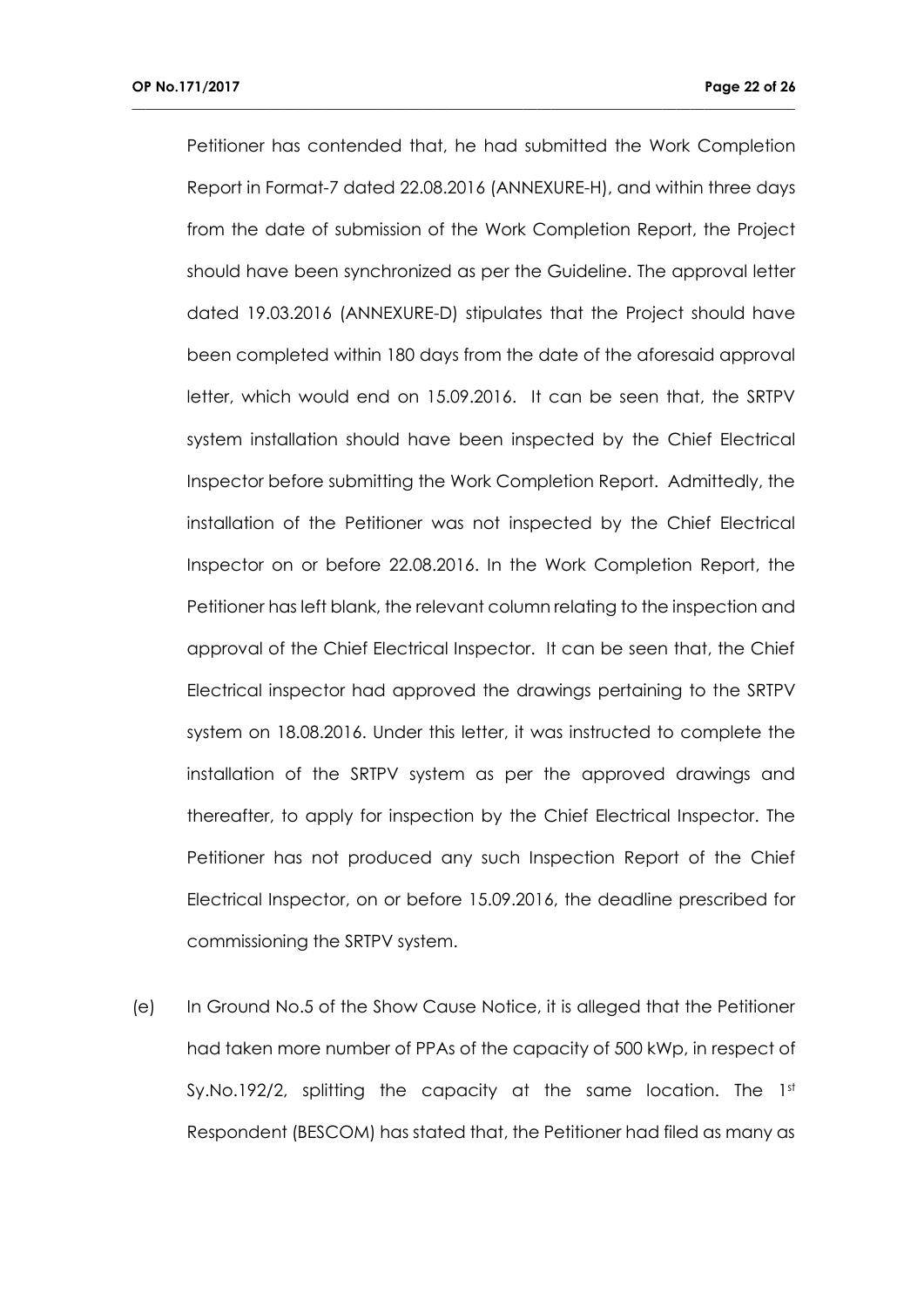Petitioner has contended that, he had submitted the Work Completion Report in Format-7 dated 22.08.2016 (ANNEXURE-H), and within three days from the date of submission of the Work Completion Report, the Project should have been synchronized as per the Guideline. The approval letter dated 19.03.2016 (ANNEXURE-D) stipulates that the Project should have been completed within 180 days from the date of the aforesaid approval letter, which would end on 15.09.2016. It can be seen that, the SRTPV system installation should have been inspected by the Chief Electrical Inspector before submitting the Work Completion Report. Admittedly, the installation of the Petitioner was not inspected by the Chief Electrical Inspector on or before 22.08.2016. In the Work Completion Report, the Petitioner has left blank, the relevant column relating to the inspection and approval of the Chief Electrical Inspector. It can be seen that, the Chief Electrical inspector had approved the drawings pertaining to the SRTPV system on 18.08.2016. Under this letter, it was instructed to complete the installation of the SRTPV system as per the approved drawings and thereafter, to apply for inspection by the Chief Electrical Inspector. The Petitioner has not produced any such Inspection Report of the Chief Electrical Inspector, on or before 15.09.2016, the deadline prescribed for commissioning the SRTPV system.

**\_\_\_\_\_\_\_\_\_\_\_\_\_\_\_\_\_\_\_\_\_\_\_\_\_\_\_\_\_\_\_\_\_\_\_\_\_\_\_\_\_\_\_\_\_\_\_\_\_\_\_\_\_\_\_\_\_\_\_\_\_\_\_\_\_\_\_\_\_\_\_\_\_\_\_\_\_\_\_\_\_\_\_\_\_\_\_\_\_\_\_\_\_\_\_**

(e) In Ground No.5 of the Show Cause Notice, it is alleged that the Petitioner had taken more number of PPAs of the capacity of 500 kWp, in respect of Sy.No.192/2, splitting the capacity at the same location. The 1st Respondent (BESCOM) has stated that, the Petitioner had filed as many as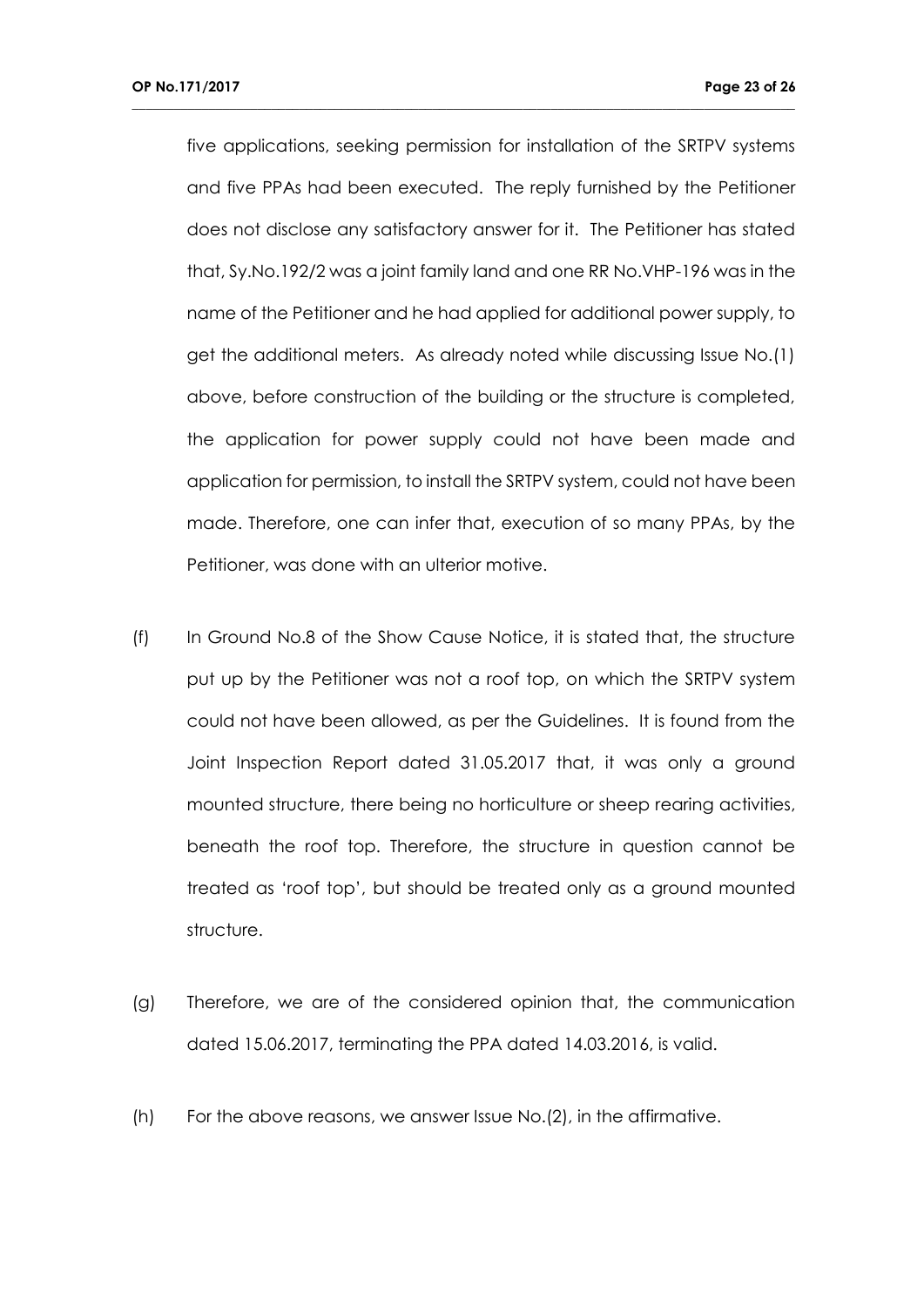five applications, seeking permission for installation of the SRTPV systems and five PPAs had been executed. The reply furnished by the Petitioner does not disclose any satisfactory answer for it. The Petitioner has stated that, Sy.No.192/2 was a joint family land and one RR No.VHP-196 was in the name of the Petitioner and he had applied for additional power supply, to get the additional meters. As already noted while discussing Issue No.(1) above, before construction of the building or the structure is completed, the application for power supply could not have been made and application for permission, to install the SRTPV system, could not have been made. Therefore, one can infer that, execution of so many PPAs, by the Petitioner, was done with an ulterior motive.

- (f) In Ground No.8 of the Show Cause Notice, it is stated that, the structure put up by the Petitioner was not a roof top, on which the SRTPV system could not have been allowed, as per the Guidelines. It is found from the Joint Inspection Report dated 31.05.2017 that, it was only a ground mounted structure, there being no horticulture or sheep rearing activities, beneath the roof top. Therefore, the structure in question cannot be treated as 'roof top', but should be treated only as a ground mounted structure.
- (g) Therefore, we are of the considered opinion that, the communication dated 15.06.2017, terminating the PPA dated 14.03.2016, is valid.
- (h) For the above reasons, we answer Issue No.(2), in the affirmative.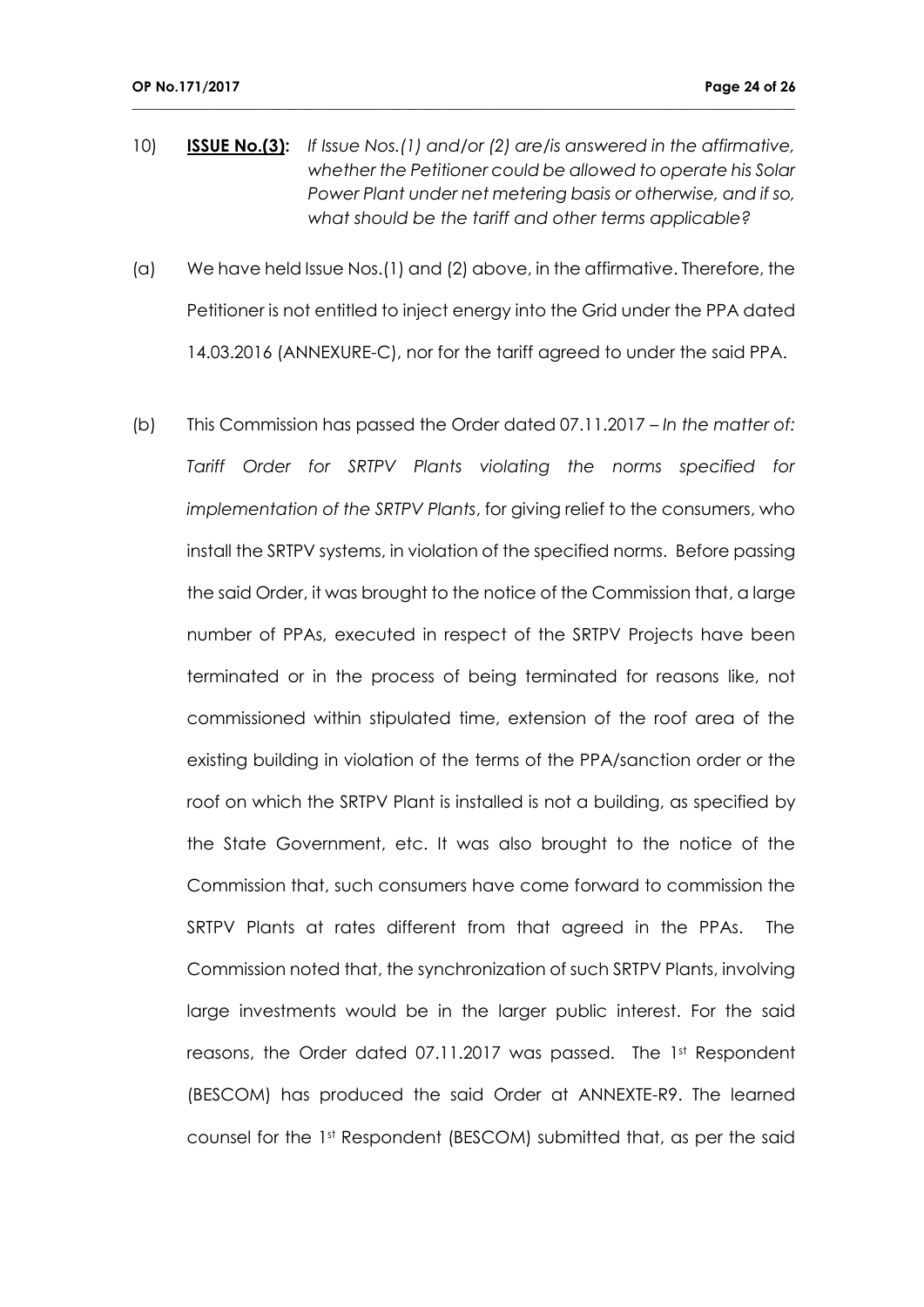10) **ISSUE No.(3):** *If Issue Nos.(1) and/or (2) are/is answered in the affirmative, whether the Petitioner could be allowed to operate his Solar Power Plant under net metering basis or otherwise, and if so, what should be the tariff and other terms applicable?*

- (a) We have held Issue Nos.(1) and (2) above, in the affirmative. Therefore, the Petitioner is not entitled to inject energy into the Grid under the PPA dated 14.03.2016 (ANNEXURE-C), nor for the tariff agreed to under the said PPA.
- (b) This Commission has passed the Order dated 07.11.2017 *In the matter of: Tariff Order for SRTPV Plants violating the norms specified for implementation of the SRTPV Plants*, for giving relief to the consumers, who install the SRTPV systems, in violation of the specified norms. Before passing the said Order, it was brought to the notice of the Commission that, a large number of PPAs, executed in respect of the SRTPV Projects have been terminated or in the process of being terminated for reasons like, not commissioned within stipulated time, extension of the roof area of the existing building in violation of the terms of the PPA/sanction order or the roof on which the SRTPV Plant is installed is not a building, as specified by the State Government, etc. It was also brought to the notice of the Commission that, such consumers have come forward to commission the SRTPV Plants at rates different from that agreed in the PPAs. The Commission noted that, the synchronization of such SRTPV Plants, involving large investments would be in the larger public interest. For the said reasons, the Order dated 07.11.2017 was passed. The 1st Respondent (BESCOM) has produced the said Order at ANNEXTE-R9. The learned counsel for the 1st Respondent (BESCOM) submitted that, as per the said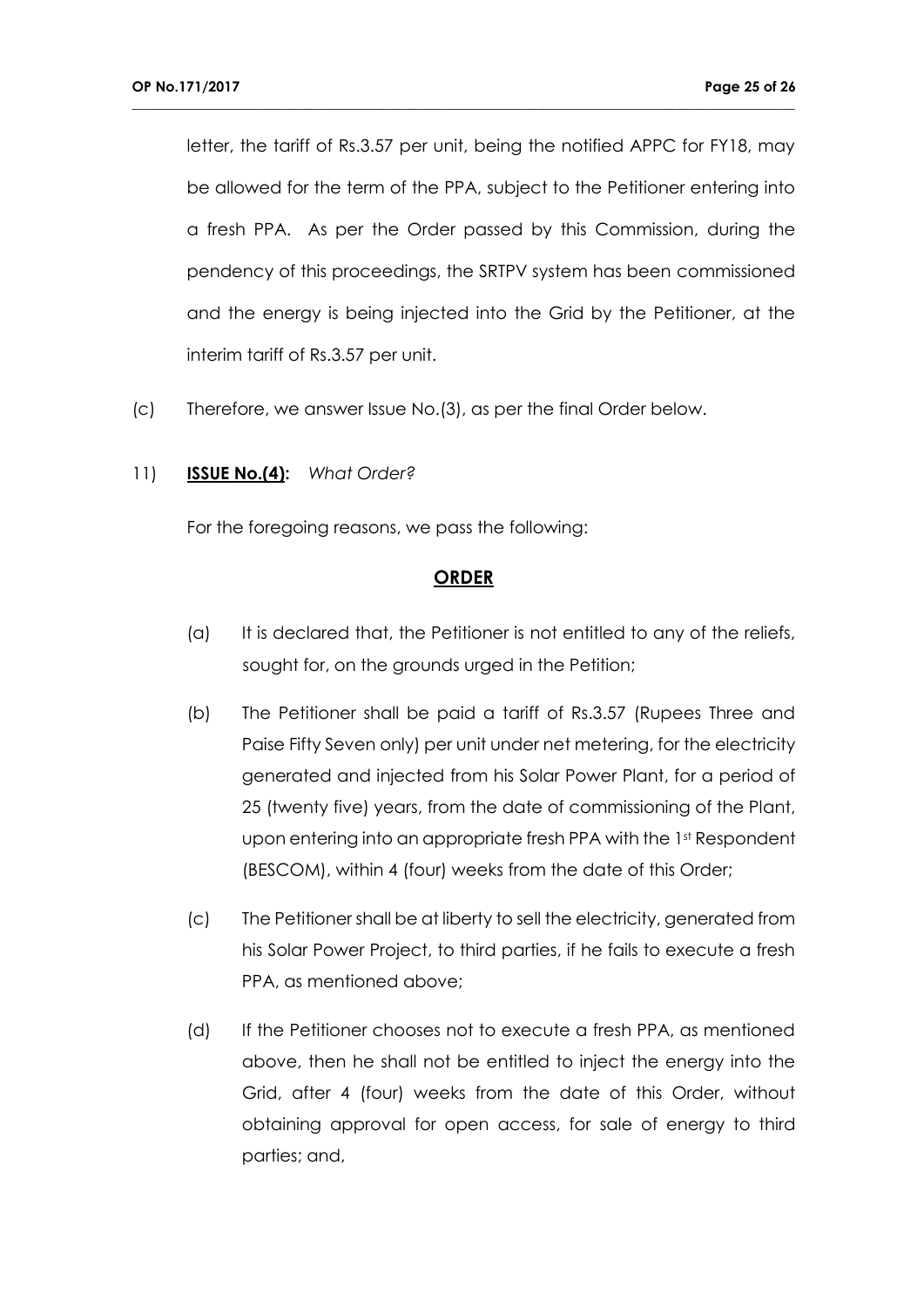letter, the tariff of Rs.3.57 per unit, being the notified APPC for FY18, may be allowed for the term of the PPA, subject to the Petitioner entering into a fresh PPA. As per the Order passed by this Commission, during the pendency of this proceedings, the SRTPV system has been commissioned and the energy is being injected into the Grid by the Petitioner, at the interim tariff of Rs.3.57 per unit.

**\_\_\_\_\_\_\_\_\_\_\_\_\_\_\_\_\_\_\_\_\_\_\_\_\_\_\_\_\_\_\_\_\_\_\_\_\_\_\_\_\_\_\_\_\_\_\_\_\_\_\_\_\_\_\_\_\_\_\_\_\_\_\_\_\_\_\_\_\_\_\_\_\_\_\_\_\_\_\_\_\_\_\_\_\_\_\_\_\_\_\_\_\_\_\_**

(c) Therefore, we answer Issue No.(3), as per the final Order below.

### 11) **ISSUE No.(4):** *What Order?*

For the foregoing reasons, we pass the following:

## **ORDER**

- (a) It is declared that, the Petitioner is not entitled to any of the reliefs, sought for, on the grounds urged in the Petition;
- (b) The Petitioner shall be paid a tariff of Rs.3.57 (Rupees Three and Paise Fifty Seven only) per unit under net metering, for the electricity generated and injected from his Solar Power Plant, for a period of 25 (twenty five) years, from the date of commissioning of the Plant, upon entering into an appropriate fresh PPA with the 1st Respondent (BESCOM), within 4 (four) weeks from the date of this Order;
- (c) The Petitioner shall be at liberty to sell the electricity, generated from his Solar Power Project, to third parties, if he fails to execute a fresh PPA, as mentioned above;
- (d) If the Petitioner chooses not to execute a fresh PPA, as mentioned above, then he shall not be entitled to inject the energy into the Grid, after 4 (four) weeks from the date of this Order, without obtaining approval for open access, for sale of energy to third parties; and,